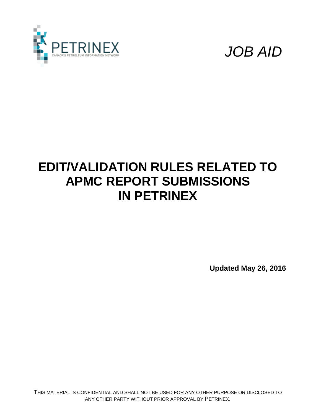



# **EDIT/VALIDATION RULES RELATED TO APMC REPORT SUBMISSIONS IN PETRINEX**

**Updated May 26, 2016**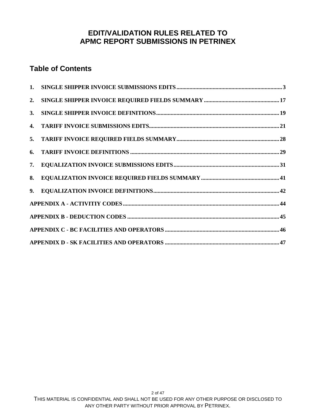#### **EDIT/VALIDATION RULES RELATED TO APMC REPORT SUBMISSIONS IN PETRINEX**

#### **Table of Contents**

| 2.             |  |
|----------------|--|
| $\mathbf{3}$ . |  |
|                |  |
|                |  |
|                |  |
| 7.             |  |
| 8.             |  |
| 9.             |  |
|                |  |
|                |  |
|                |  |
|                |  |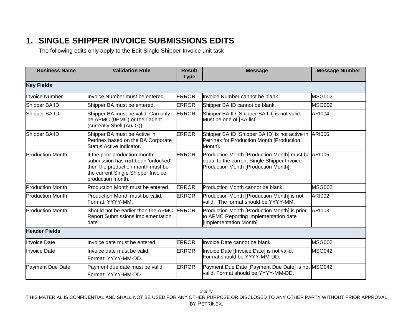#### **1. SINGLE SHIPPER INVOICE SUBMISSIONS EDITS**

The following edits only apply to the Edit Single Shipper Invoice unit task

<span id="page-2-0"></span>

| <b>Business Name</b>    | <b>Validation Rule</b>                                                                                                                                               | <b>Result</b><br><b>Type</b> | <b>Message</b>                                                                                                                            | <b>Message Number</b> |  |  |  |
|-------------------------|----------------------------------------------------------------------------------------------------------------------------------------------------------------------|------------------------------|-------------------------------------------------------------------------------------------------------------------------------------------|-----------------------|--|--|--|
| <b>Key Fields</b>       |                                                                                                                                                                      |                              |                                                                                                                                           |                       |  |  |  |
| <b>Invoice Number</b>   | Invoice Number must be entered.                                                                                                                                      | <b>ERROR</b>                 | Invoice Number cannot be blank.                                                                                                           | <b>MSG002</b>         |  |  |  |
| Shipper BA ID           | Shipper BA must be entered.                                                                                                                                          | <b>ERROR</b>                 | Shipper BA ID cannot be blank.                                                                                                            | <b>MSG002</b>         |  |  |  |
| Shipper BA ID           | Shipper BA must be valid. Can only<br>be APMC (0PMC) or their agent<br>(currently Shell (A6JG)).                                                                     | <b>ERROR</b>                 | Shipper BA ID [Shipper BA ID] is not valid.<br>Must be one of [BA list].                                                                  | <b>ARI004</b>         |  |  |  |
| Shipper BA ID           | Shipper BA must be Active in<br>Petrinex based on the BA Corporate<br>Status Active Indicator.                                                                       | <b>ERROR</b>                 | Shipper BA ID [Shipper BA ID] is not active in<br>Petrinex for Production Month [Production<br>Month].                                    | <b>ARI006</b>         |  |  |  |
| <b>Production Month</b> | If the prior production month<br>submission has not been 'unlocked',<br>then the production month must be<br>the current Single Shipper Invoice<br>production month. | <b>ERROR</b>                 | Production Month [Production Month] must be ARI005<br>equal to the current Single Shipper Invoice<br>Production Month [Production Month]. |                       |  |  |  |
| <b>Production Month</b> | Production Month must be entered.                                                                                                                                    | <b>ERROR</b>                 | Production Month cannot be blank.                                                                                                         | <b>MSG002</b>         |  |  |  |
| <b>Production Month</b> | Production Month must be valid.<br>Format: YYYY-MM.                                                                                                                  | <b>ERROR</b>                 | Production Month [Production Month] is not<br>valid. The format should be YYYY-MM.                                                        | <b>ARI002</b>         |  |  |  |
| <b>Production Month</b> | Should not be earlier than the APMC<br><b>Report Submissions implementation</b><br>date.                                                                             | <b>ERROR</b>                 | Production Month [Production Month] is prior<br>to APMC Reporting implementation date<br>[Implementation Month].                          | <b>ARI003</b>         |  |  |  |
| <b>Header Fields</b>    |                                                                                                                                                                      |                              |                                                                                                                                           |                       |  |  |  |
| <b>Invoice Date</b>     | Invoice date must be entered.                                                                                                                                        | <b>ERROR</b>                 | Invoice Date cannot be blank.                                                                                                             | MSG002                |  |  |  |
| <b>Invoice Date</b>     | Invoice date must be valid.<br>Format: YYYY-MM-DD.                                                                                                                   | <b>ERROR</b>                 | Invoice Date [Invoice Date] is not valid.<br>Format should be YYYY-MM-DD.                                                                 | <b>MSG042</b>         |  |  |  |
| Payment Due Date        | Payment due date must be valid.<br>Format: YYYY-MM-DD.                                                                                                               | <b>ERROR</b>                 | Payment Due Date [Payment Due Date] is not MSG042<br>valid. Format should be YYYY-MM-DD.                                                  |                       |  |  |  |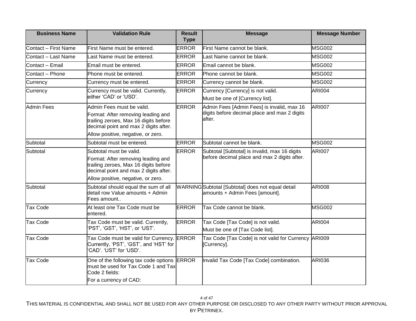| <b>Business Name</b> | <b>Validation Rule</b>                                                                                                                                                                  | <b>Result</b><br><b>Type</b> | <b>Message</b>                                                                                       | <b>Message Number</b> |
|----------------------|-----------------------------------------------------------------------------------------------------------------------------------------------------------------------------------------|------------------------------|------------------------------------------------------------------------------------------------------|-----------------------|
| Contact - First Name | First Name must be entered.                                                                                                                                                             | <b>ERROR</b>                 | First Name cannot be blank.                                                                          | <b>MSG002</b>         |
| Contact - Last Name  | Last Name must be entered.                                                                                                                                                              | <b>ERROR</b>                 | Last Name cannot be blank.                                                                           | <b>MSG002</b>         |
| Contact - Email      | Email must be entered.                                                                                                                                                                  | <b>ERROR</b>                 | Email cannot be blank.                                                                               | <b>MSG002</b>         |
| Contact - Phone      | Phone must be entered.                                                                                                                                                                  | <b>ERROR</b>                 | lPhone cannot be blank.                                                                              | <b>MSG002</b>         |
| Currency             | Currency must be entered.                                                                                                                                                               | <b>ERROR</b>                 | Currency cannot be blank.                                                                            | <b>MSG002</b>         |
| Currency             | Currency must be valid. Currently,<br>either 'CAD' or 'USD'.                                                                                                                            | <b>ERROR</b>                 | Currency [Currency] is not valid.<br>Must be one of [Currency list].                                 | <b>ARI004</b>         |
| <b>Admin Fees</b>    | Admin Fees must be valid.<br>Format: After removing leading and<br>trailing zeroes, Max 16 digits before<br>decimal point and max 2 digits after.<br>Allow positive, negative, or zero. | <b>ERROR</b>                 | Admin Fees [Admin Fees] is invalid, max 16<br>digits before decimal place and max 2 digits<br>after. | <b>ARI007</b>         |
| Subtotal             | Subtotal must be entered.                                                                                                                                                               | <b>ERROR</b>                 | Subtotal cannot be blank.                                                                            | <b>MSG002</b>         |
| Subtotal             | Subtotal must be valid.<br>Format: After removing leading and<br>trailing zeroes, Max 16 digits before<br>decimal point and max 2 digits after.<br>Allow positive, negative, or zero.   | <b>ERROR</b>                 | Subtotal [Subtotal] is invalid, max 16 digits<br>before decimal place and max 2 digits after.        | <b>ARI007</b>         |
| Subtotal             | Subtotal should equal the sum of all<br>detail row Value amounts + Admin<br>Fees amount                                                                                                 |                              | WARNING Subtotal [Subtotal] does not equal detail<br>amounts + Admin Fees [amount].                  | <b>ARI008</b>         |
| <b>Tax Code</b>      | At least one Tax Code must be<br>entered.                                                                                                                                               | <b>ERROR</b>                 | Tax Code cannot be blank.                                                                            | <b>MSG002</b>         |
| <b>Tax Code</b>      | Tax Code must be valid. Currently,<br>'PST', 'GST', 'HST', or 'UST'.                                                                                                                    | <b>ERROR</b>                 | Tax Code [Tax Code] is not valid.<br>Must be one of [Tax Code list].                                 | <b>ARI004</b>         |
| <b>Tax Code</b>      | Tax Code must be valid for Currency. ERROR<br>Currently, 'PST', 'GST', and 'HST' for<br>CAD'. 'UST' for 'USD'.                                                                          |                              | Tax Code [Tax Code] is not valid for Currency ARI009<br>[Currency].                                  |                       |
| <b>Tax Code</b>      | One of the following tax code options ERROR<br>must be used for Tax Code 1 and Tax<br>Code 2 fields:<br>For a currency of CAD:                                                          |                              | Invalid Tax Code [Tax Code] combination.                                                             | <b>ARI036</b>         |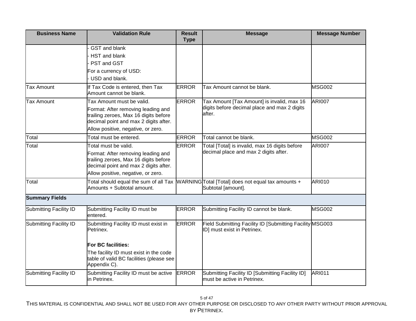| <b>Business Name</b>          | <b>Validation Rule</b>                                                                                                                                     | <b>Result</b><br><b>Type</b> | <b>Message</b>                                                                                                | <b>Message Number</b> |
|-------------------------------|------------------------------------------------------------------------------------------------------------------------------------------------------------|------------------------------|---------------------------------------------------------------------------------------------------------------|-----------------------|
|                               | <b>GST</b> and blank                                                                                                                                       |                              |                                                                                                               |                       |
|                               | HST and blank                                                                                                                                              |                              |                                                                                                               |                       |
|                               | PST and GST                                                                                                                                                |                              |                                                                                                               |                       |
|                               | For a currency of USD:                                                                                                                                     |                              |                                                                                                               |                       |
|                               | USD and blank.                                                                                                                                             |                              |                                                                                                               |                       |
| <b>Tax Amount</b>             | If Tax Code is entered, then Tax<br>Amount cannot be blank.                                                                                                | <b>ERROR</b>                 | Tax Amount cannot be blank.                                                                                   | <b>MSG002</b>         |
| <b>Tax Amount</b>             | Tax Amount must be valid.                                                                                                                                  | <b>ERROR</b>                 | Tax Amount [Tax Amount] is invalid, max 16                                                                    | <b>ARI007</b>         |
|                               | Format: After removing leading and<br>trailing zeroes, Max 16 digits before<br>decimal point and max 2 digits after.<br>Allow positive, negative, or zero. |                              | digits before decimal place and max 2 digits<br>after.                                                        |                       |
| Total                         | Total must be entered.                                                                                                                                     | <b>ERROR</b>                 | Total cannot be blank.                                                                                        | <b>MSG002</b>         |
| Total                         | Total must be valid.                                                                                                                                       | <b>ERROR</b>                 | Total [Total] is invalid, max 16 digits before                                                                | <b>ARI007</b>         |
|                               | Format: After removing leading and<br>trailing zeroes, Max 16 digits before<br>decimal point and max 2 digits after.                                       |                              | decimal place and max 2 digits after.                                                                         |                       |
|                               | Allow positive, negative, or zero.                                                                                                                         |                              |                                                                                                               |                       |
| Total                         | Amounts + Subtotal amount.                                                                                                                                 |                              | Total should equal the sum of all Tax MARNINGTotal [Total] does not equal tax amounts +<br>Subtotal [amount]. | <b>ARI010</b>         |
| <b>Summary Fields</b>         |                                                                                                                                                            |                              |                                                                                                               |                       |
| <b>Submitting Facility ID</b> | Submitting Facility ID must be<br>entered.                                                                                                                 | <b>ERROR</b>                 | Submitting Facility ID cannot be blank.                                                                       | <b>MSG002</b>         |
| Submitting Facility ID        | Submitting Facility ID must exist in<br>Petrinex.                                                                                                          | <b>ERROR</b>                 | Field Submitting Facility ID [Submitting Facility MSG003<br>ID] must exist in Petrinex.                       |                       |
|                               | For BC facilities:                                                                                                                                         |                              |                                                                                                               |                       |
|                               | The facility ID must exist in the code<br>table of valid BC facilities (please see<br>Appendix C).                                                         |                              |                                                                                                               |                       |
| Submitting Facility ID        | Submitting Facility ID must be active<br>in Petrinex.                                                                                                      | <b>ERROR</b>                 | Submitting Facility ID [Submitting Facility ID]<br>must be active in Petrinex.                                | <b>ARI011</b>         |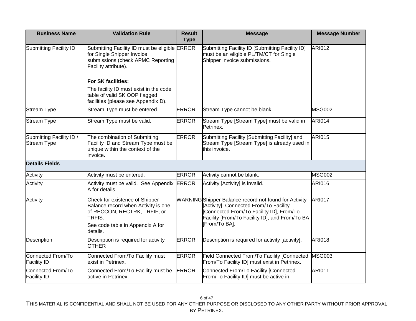| <b>Business Name</b>                           | <b>Validation Rule</b>                                                                                                                   | <b>Result</b><br><b>Type</b> | <b>Message</b>                                                                                                                                                                              | <b>Message Number</b> |
|------------------------------------------------|------------------------------------------------------------------------------------------------------------------------------------------|------------------------------|---------------------------------------------------------------------------------------------------------------------------------------------------------------------------------------------|-----------------------|
| Submitting Facility ID                         | Submitting Facility ID must be eligible ERROR<br>for Single Shipper Invoice<br>submissions (check APMC Reporting<br>Facility attribute). |                              | Submitting Facility ID [Submitting Facility ID]<br>must be an eligible PL/TM/CT for Single<br>Shipper Invoice submissions.                                                                  | <b>ARI012</b>         |
|                                                | <b>For SK facilities:</b>                                                                                                                |                              |                                                                                                                                                                                             |                       |
|                                                | The facility ID must exist in the code<br>table of valid SK OOP flagged<br>facilities (please see Appendix D).                           |                              |                                                                                                                                                                                             |                       |
| <b>Stream Type</b>                             | Stream Type must be entered.                                                                                                             | <b>ERROR</b>                 | Stream Type cannot be blank.                                                                                                                                                                | <b>MSG002</b>         |
| <b>Stream Type</b>                             | Stream Type must be valid.                                                                                                               | <b>ERROR</b>                 | Stream Type [Stream Type] must be valid in<br>Petrinex.                                                                                                                                     | <b>ARI014</b>         |
| Submitting Facility ID /<br><b>Stream Type</b> | The combination of Submitting<br>Facility ID and Stream Type must be<br>unique within the context of the<br>invoice.                     | <b>ERROR</b>                 | Submitting Facility [Submitting Facility] and<br>Stream Type [Stream Type] is already used in<br>this invoice.                                                                              | <b>ARI015</b>         |
| <b>Details Fields</b>                          |                                                                                                                                          |                              |                                                                                                                                                                                             |                       |
| Activity                                       | Activity must be entered.                                                                                                                | <b>ERROR</b>                 | Activity cannot be blank.                                                                                                                                                                   | <b>MSG002</b>         |
| Activity                                       | Activity must be valid. See Appendix ERROR<br>A for details.                                                                             |                              | Activity [Activity] is invalid.                                                                                                                                                             | <b>ARI016</b>         |
| Activity                                       | Check for existence of Shipper<br>Balance record when Activity is one<br>of RECCON, RECTRK, TRFIF, or<br>TRFIS.                          |                              | WARNINGShipper Balance record not found for Activity<br>[Activity], Connected From/To Facility<br>Connected From/To Facility ID], From/To<br>Facility [From/To Facility ID], and From/To BA | <b>ARI017</b>         |
|                                                | See code table in Appendix A for<br>details.                                                                                             |                              | [From/To BA].                                                                                                                                                                               |                       |
| Description                                    | Description is required for activity<br><b>OTHER</b>                                                                                     | <b>ERROR</b>                 | Description is required for activity [activity].                                                                                                                                            | <b>ARI018</b>         |
| Connected From/To<br><b>Facility ID</b>        | Connected From/To Facility must<br>exist in Petrinex.                                                                                    | <b>ERROR</b>                 | Field Connected From/To Facility [Connected<br>From/To Facility ID] must exist in Petrinex.                                                                                                 | <b>MSG003</b>         |
| Connected From/To<br><b>Facility ID</b>        | Connected From/To Facility must be<br>active in Petrinex.                                                                                | <b>ERROR</b>                 | Connected From/To Facility [Connected<br>From/To Facility ID] must be active in                                                                                                             | <b>ARI011</b>         |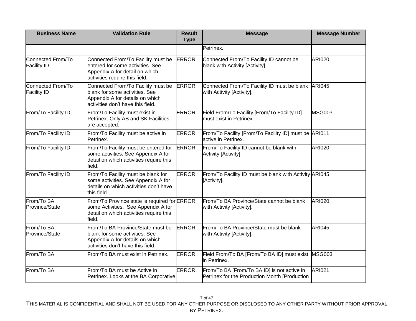| <b>Business Name</b>                    | <b>Validation Rule</b>                                                                                                                       | <b>Result</b><br><b>Type</b> | <b>Message</b>                                                                               | <b>Message Number</b> |
|-----------------------------------------|----------------------------------------------------------------------------------------------------------------------------------------------|------------------------------|----------------------------------------------------------------------------------------------|-----------------------|
|                                         |                                                                                                                                              |                              | Petrinex.                                                                                    |                       |
| Connected From/To<br><b>Facility ID</b> | Connected From/To Facility must be<br>entered for some activities. See<br>Appendix A for detail on which<br>activities require this field.   | <b>ERROR</b>                 | Connected From/To Facility ID cannot be<br>blank with Activity [Activity].                   | <b>ARI020</b>         |
| Connected From/To<br><b>Facility ID</b> | Connected From/To Facility must be<br>blank for some activities. See<br>Appendix A for details on which<br>activities don't have this field. | <b>ERROR</b>                 | Connected From/To Facility ID must be blank<br>with Activity [Activity].                     | <b>ARI045</b>         |
| From/To Facility ID                     | From/To Facility must exist in<br>Petrinex. Only AB and SK Facilities<br>are accepted.                                                       | <b>ERROR</b>                 | Field From/To Facility [From/To Facility ID]<br>must exist in Petrinex.                      | <b>MSG003</b>         |
| From/To Facility ID                     | From/To Facility must be active in<br>Petrinex.                                                                                              | <b>ERROR</b>                 | From/To Facility [From/To Facility ID] must be ARI011<br>active in Petrinex.                 |                       |
| From/To Facility ID                     | From/To Facility must be entered for<br>some activities. See Appendix A for<br>detail on which activities require this<br>field.             | <b>ERROR</b>                 | From/To Facility ID cannot be blank with<br>Activity [Activity].                             | <b>ARI020</b>         |
| From/To Facility ID                     | From/To Facility must be blank for<br>some activities. See Appendix A for<br>details on which activities don't have<br>this field.           | <b>ERROR</b>                 | From/To Facility ID must be blank with Activity ARI045<br>[Activity].                        |                       |
| From/To BA<br>Province/State            | From/To Province state is required for ERROR<br>some Activities. See Appendix A for<br>detail on which activities require this<br>field.     |                              | From/To BA Province/State cannot be blank<br>with Activity [Activity].                       | <b>ARI020</b>         |
| From/To BA<br>Province/State            | From/To BA Province/State must be<br>blank for some activities. See<br>Appendix A for details on which<br>activities don't have this field.  | <b>ERROR</b>                 | From/To BA Province/State must be blank<br>with Activity [Activity].                         | <b>ARI045</b>         |
| From/To BA                              | From/To BA must exist in Petrinex.                                                                                                           | <b>ERROR</b>                 | Field From/To BA [From/To BA ID] must exist<br>in Petrinex.                                  | <b>MSG003</b>         |
| From/To BA                              | From/To BA must be Active in<br>Petrinex. Looks at the BA Corporative                                                                        | <b>ERROR</b>                 | From/To BA [From/To BA ID] is not active in<br>Petrinex for the Production Month [Production | <b>ARI021</b>         |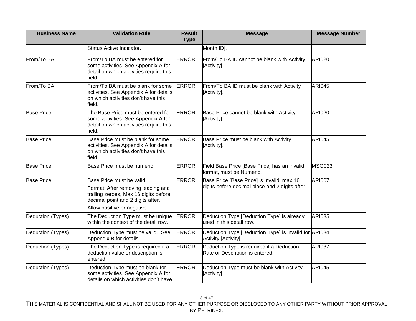| <b>Business Name</b> | <b>Validation Rule</b>                                                                                                                                                       | <b>Result</b><br><b>Type</b> | <b>Message</b>                                                                                | <b>Message Number</b> |
|----------------------|------------------------------------------------------------------------------------------------------------------------------------------------------------------------------|------------------------------|-----------------------------------------------------------------------------------------------|-----------------------|
|                      | Status Active Indicator.                                                                                                                                                     |                              | Month ID].                                                                                    |                       |
| From/To BA           | From/To BA must be entered for<br>some activities. See Appendix A for<br>detail on which activities require this<br>field.                                                   | <b>ERROR</b>                 | From/To BA ID cannot be blank with Activity<br>[Activity].                                    | <b>ARI020</b>         |
| From/To BA           | From/To BA must be blank for some<br>activities. See Appendix A for details<br>on which activities don't have this<br>field.                                                 | <b>ERROR</b>                 | From/To BA ID must be blank with Activity<br>[Activity].                                      | <b>ARI045</b>         |
| <b>Base Price</b>    | The Base Price must be entered for<br>some activities. See Appendix A for<br>detail on which activities require this<br>field.                                               | <b>ERROR</b>                 | Base Price cannot be blank with Activity<br>[Activity].                                       | <b>ARI020</b>         |
| <b>Base Price</b>    | Base Price must be blank for some<br>activities. See Appendix A for details<br><b>on which activities don't have this</b><br>field.                                          | <b>ERROR</b>                 | Base Price must be blank with Activity<br>[Activity].                                         | <b>ARI045</b>         |
| <b>Base Price</b>    | Base Price must be numeric                                                                                                                                                   | <b>ERROR</b>                 | Field Base Price [Base Price] has an invalid<br>format, must be Numeric.                      | <b>MSG023</b>         |
| <b>Base Price</b>    | Base Price must be valid.<br>Format: After removing leading and<br>trailing zeroes, Max 16 digits before<br>decimal point and 2 digits after.<br>Allow positive or negative. | <b>ERROR</b>                 | Base Price [Base Price] is invalid, max 16<br>digits before decimal place and 2 digits after. | <b>ARI007</b>         |
| Deduction (Types)    | The Deduction Type must be unique<br>within the context of the detail row.                                                                                                   | <b>ERROR</b>                 | Deduction Type [Deduction Type] is already<br>used in this detail row.                        | <b>ARI035</b>         |
| Deduction (Types)    | Deduction Type must be valid. See<br>Appendix B for details.                                                                                                                 | <b>ERROR</b>                 | Deduction Type [Deduction Type] is invalid for ARI034<br>Activity [Activity].                 |                       |
| Deduction (Types)    | The Deduction Type is required if a<br>deduction value or description is<br>entered.                                                                                         | <b>ERROR</b>                 | Deduction Type is required if a Deduction<br>Rate or Description is entered.                  | <b>ARI037</b>         |
| Deduction (Types)    | Deduction Type must be blank for<br>some activities. See Appendix A for<br>details on which activities don't have                                                            | <b>ERROR</b>                 | Deduction Type must be blank with Activity<br>[Activity].                                     | <b>ARI045</b>         |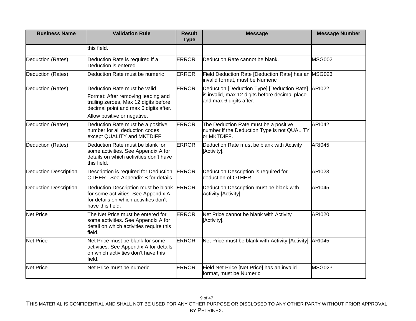| <b>Business Name</b>         | <b>Validation Rule</b>                                                                                                                  | <b>Result</b><br><b>Type</b> | <b>Message</b>                                                                                      | <b>Message Number</b> |
|------------------------------|-----------------------------------------------------------------------------------------------------------------------------------------|------------------------------|-----------------------------------------------------------------------------------------------------|-----------------------|
|                              | this field.                                                                                                                             |                              |                                                                                                     |                       |
| Deduction (Rates)            | Deduction Rate is required if a<br>Deduction is entered.                                                                                | <b>ERROR</b>                 | Deduction Rate cannot be blank.                                                                     | <b>MSG002</b>         |
| Deduction (Rates)            | Deduction Rate must be numeric                                                                                                          | <b>ERROR</b>                 | Field Deduction Rate [Deduction Rate] has an MSG023<br>invalid format, must be Numeric              |                       |
| Deduction (Rates)            | Deduction Rate must be valid.                                                                                                           | <b>ERROR</b>                 | Deduction [Deduction Type] [Deduction Rate]<br>is invalid, max 12 digits before decimal place       | <b>ARI022</b>         |
|                              | Format: After removing leading and<br>trailing zeroes, Max 12 digits before<br>decimal point and max 6 digits after.                    |                              | and max 6 digits after.                                                                             |                       |
|                              | Allow positive or negative.                                                                                                             |                              |                                                                                                     |                       |
| Deduction (Rates)            | Deduction Rate must be a positive<br>number for all deduction codes<br>except QUALITY and MKTDIFF.                                      | <b>ERROR</b>                 | The Deduction Rate must be a positive<br>number if the Deduction Type is not QUALITY<br>or MKTDIFF. | <b>ARI042</b>         |
| Deduction (Rates)            | Deduction Rate must be blank for<br>some activities. See Appendix A for<br>details on which activities don't have<br>this field.        | <b>ERROR</b>                 | Deduction Rate must be blank with Activity<br>[Activity].                                           | <b>ARI045</b>         |
| <b>Deduction Description</b> | Description is required for Deduction<br>OTHER. See Appendix B for details.                                                             | <b>ERROR</b>                 | Deduction Description is required for<br>deduction of OTHER.                                        | <b>ARI023</b>         |
| <b>Deduction Description</b> | Deduction Description must be blank<br>for some activities. See Appendix A<br>for details on which activities don't<br>have this field. | <b>ERROR</b>                 | Deduction Description must be blank with<br>Activity [Activity].                                    | <b>ARI045</b>         |
| <b>Net Price</b>             | The Net Price must be entered for<br>some activities. See Appendix A for<br>detail on which activities require this<br>field.           | <b>ERROR</b>                 | Net Price cannot be blank with Activity<br>[Activity].                                              | <b>ARI020</b>         |
| <b>Net Price</b>             | Net Price must be blank for some<br>activities. See Appendix A for details<br>on which activities don't have this<br>field.             | <b>ERROR</b>                 | Net Price must be blank with Activity [Activity]. ARI045                                            |                       |
| <b>Net Price</b>             | Net Price must be numeric                                                                                                               | <b>ERROR</b>                 | Field Net Price [Net Price] has an invalid<br>format, must be Numeric.                              | <b>MSG023</b>         |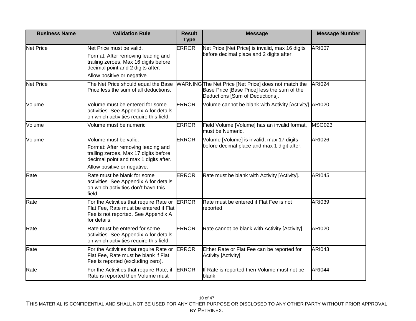| <b>Business Name</b> | <b>Validation Rule</b>                                                                                                                                                      | <b>Result</b><br><b>Type</b> | <b>Message</b>                                                                                                                        | <b>Message Number</b> |
|----------------------|-----------------------------------------------------------------------------------------------------------------------------------------------------------------------------|------------------------------|---------------------------------------------------------------------------------------------------------------------------------------|-----------------------|
| <b>Net Price</b>     | Net Price must be valid.<br>Format: After removing leading and<br>trailing zeroes, Max 16 digits before<br>decimal point and 2 digits after.<br>Allow positive or negative. | <b>ERROR</b>                 | Net Price [Net Price] is invalid, max 16 digits<br>before decimal place and 2 digits after.                                           | <b>ARI007</b>         |
| <b>Net Price</b>     | The Net Price should equal the Base<br>Price less the sum of all deductions.                                                                                                |                              | WARNINGThe Net Price [Net Price] does not match the<br>Base Price [Base Price] less the sum of the<br>Deductions [Sum of Deductions]. | <b>ARI024</b>         |
| Volume               | Volume must be entered for some<br>activities. See Appendix A for details<br>on which activities require this field.                                                        | <b>ERROR</b>                 | Volume cannot be blank with Activity [Activity]. ARI020                                                                               |                       |
| Volume               | Volume must be numeric                                                                                                                                                      | <b>ERROR</b>                 | Field Volume [Volume] has an invalid format,<br>must be Numeric.                                                                      | <b>MSG023</b>         |
| Volume               | Volume must be valid.<br>Format: After removing leading and<br>trailing zeroes, Max 17 digits before<br>decimal point and max 1 digits after.                               | <b>ERROR</b>                 | Volume [Volume] is invalid, max 17 digits<br>before decimal place and max 1 digit after.                                              | <b>ARI026</b>         |
| Rate                 | Allow positive or negative.<br>Rate must be blank for some<br>activities. See Appendix A for details<br>on which activities don't have this<br>field.                       | <b>ERROR</b>                 | Rate must be blank with Activity [Activity].                                                                                          | <b>ARI045</b>         |
| Rate                 | For the Activities that require Rate or<br>Flat Fee, Rate must be entered if Flat<br>Fee is not reported. See Appendix A<br>for details.                                    | <b>ERROR</b>                 | Rate must be entered if Flat Fee is not<br>reported.                                                                                  | ARI039                |
| Rate                 | Rate must be entered for some<br>activities. See Appendix A for details<br>on which activities require this field.                                                          | <b>ERROR</b>                 | Rate cannot be blank with Activity [Activity].                                                                                        | <b>ARI020</b>         |
| Rate                 | For the Activities that require Rate or<br>Flat Fee, Rate must be blank if Flat<br>Fee is reported (excluding zero).                                                        | <b>ERROR</b>                 | Either Rate or Flat Fee can be reported for<br>Activity [Activity].                                                                   | <b>ARI043</b>         |
| Rate                 | For the Activities that require Rate, if<br>Rate is reported then Volume must                                                                                               | <b>ERROR</b>                 | If Rate is reported then Volume must not be<br>blank.                                                                                 | <b>ARI044</b>         |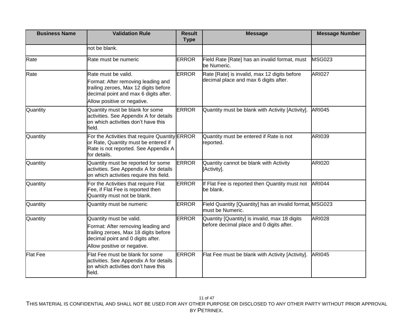| <b>Business Name</b> | <b>Validation Rule</b>                                                                                                                         | <b>Result</b><br><b>Type</b> | <b>Message</b>                                                              | <b>Message Number</b> |
|----------------------|------------------------------------------------------------------------------------------------------------------------------------------------|------------------------------|-----------------------------------------------------------------------------|-----------------------|
|                      | not be blank.                                                                                                                                  |                              |                                                                             |                       |
| Rate                 | Rate must be numeric                                                                                                                           | <b>ERROR</b>                 | Field Rate [Rate] has an invalid format, must<br>be Numeric.                | <b>MSG023</b>         |
| Rate                 | Rate must be valid.                                                                                                                            | <b>ERROR</b>                 | Rate [Rate] is invalid, max 12 digits before                                | <b>ARI027</b>         |
|                      | Format: After removing leading and<br>trailing zeroes, Max 12 digits before<br>decimal point and max 6 digits after.                           |                              | decimal place and max 6 digits after.                                       |                       |
|                      | Allow positive or negative.                                                                                                                    |                              |                                                                             |                       |
| Quantity             | Quantity must be blank for some<br>activities. See Appendix A for details<br>on which activities don't have this<br>field.                     | <b>ERROR</b>                 | Quantity must be blank with Activity [Activity].                            | <b>ARI045</b>         |
| Quantity             | For the Activities that require Quantity ERROR<br>or Rate, Quantity must be entered if<br>Rate is not reported. See Appendix A<br>for details. |                              | Quantity must be entered if Rate is not<br>reported.                        | ARI039                |
| Quantity             | Quantity must be reported for some<br>activities. See Appendix A for details<br>on which activities require this field.                        | <b>ERROR</b>                 | Quantity cannot be blank with Activity<br>[Activity].                       | <b>ARI020</b>         |
| Quantity             | For the Activities that require Flat<br>Fee, if Flat Fee is reported then<br>Quantity must not be blank.                                       | <b>ERROR</b>                 | If Flat Fee is reported then Quantity must not<br>be blank.                 | <b>ARI044</b>         |
| Quantity             | Quantity must be numeric                                                                                                                       | <b>ERROR</b>                 | Field Quantity [Quantity] has an invalid format, MSG023<br>must be Numeric. |                       |
| Quantity             | Quantity must be valid.                                                                                                                        | <b>ERROR</b>                 | Quantity [Quantity] is invalid, max 18 digits                               | <b>ARI028</b>         |
|                      | Format: After removing leading and<br>trailing zeroes, Max 18 digits before<br>decimal point and 0 digits after.                               |                              | before decimal place and 0 digits after.                                    |                       |
|                      | Allow positive or negative.                                                                                                                    |                              |                                                                             |                       |
| <b>Flat Fee</b>      | Flat Fee must be blank for some<br>activities. See Appendix A for details<br>on which activities don't have this<br>field.                     | <b>ERROR</b>                 | Flat Fee must be blank with Activity [Activity].                            | <b>ARI045</b>         |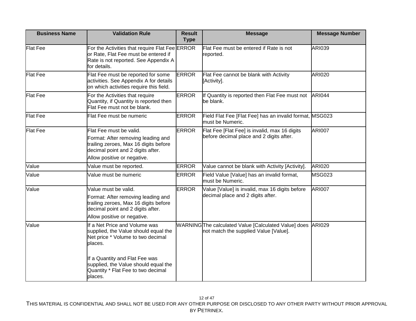| <b>Business Name</b> | <b>Validation Rule</b>                                                                                                                                                     | <b>Result</b><br><b>Type</b> | <b>Message</b>                                                                               | <b>Message Number</b> |
|----------------------|----------------------------------------------------------------------------------------------------------------------------------------------------------------------------|------------------------------|----------------------------------------------------------------------------------------------|-----------------------|
| <b>Flat Fee</b>      | For the Activities that require Flat Fee ERROR<br>or Rate, Flat Fee must be entered if<br>Rate is not reported. See Appendix A<br>for details.                             |                              | Flat Fee must be entered if Rate is not<br>reported.                                         | <b>ARI039</b>         |
| <b>Flat Fee</b>      | Flat Fee must be reported for some<br>activities. See Appendix A for details<br>on which activities require this field.                                                    | <b>ERROR</b>                 | Flat Fee cannot be blank with Activity<br>[Activity].                                        | <b>ARI020</b>         |
| <b>Flat Fee</b>      | For the Activities that require<br>Quantity, if Quantity is reported then<br>Flat Fee must not be blank.                                                                   | <b>ERROR</b>                 | If Quantity is reported then Flat Fee must not<br>be blank.                                  | <b>ARI044</b>         |
| <b>Flat Fee</b>      | Flat Fee must be numeric                                                                                                                                                   | <b>ERROR</b>                 | Field Flat Fee [Flat Fee] has an invalid format, MSG023<br>must be Numeric.                  |                       |
| <b>Flat Fee</b>      | Flat Fee must be valid.<br>Format: After removing leading and<br>trailing zeroes, Max 16 digits before<br>decimal point and 2 digits after.<br>Allow positive or negative. | <b>ERROR</b>                 | Flat Fee [Flat Fee] is invalid, max 16 digits<br>before decimal place and 2 digits after.    | <b>ARI007</b>         |
| Value                | Value must be reported.                                                                                                                                                    | <b>ERROR</b>                 | Value cannot be blank with Activity [Activity].                                              | <b>ARI020</b>         |
| Value                | Value must be numeric                                                                                                                                                      | <b>ERROR</b>                 | Field Value [Value] has an invalid format,<br>must be Numeric.                               | MSG023                |
| Value                | Value must be valid.<br>Format: After removing leading and<br>trailing zeroes, Max 16 digits before<br>decimal point and 2 digits after.<br>Allow positive or negative.    | <b>ERROR</b>                 | Value [Value] is invalid, max 16 digits before<br>decimal place and 2 digits after.          | <b>ARI007</b>         |
| Value                | If a Net Price and Volume was<br>supplied, the Value should equal the<br>Net price * Volume to two decimal<br>places.                                                      |                              | WARNINGThe calculated Value [Calculated Value] does<br>not match the supplied Value [Value]. | <b>ARI029</b>         |
|                      | If a Quantity and Flat Fee was<br>supplied, the Value should equal the<br>Quantity * Flat Fee to two decimal<br>places.                                                    |                              |                                                                                              |                       |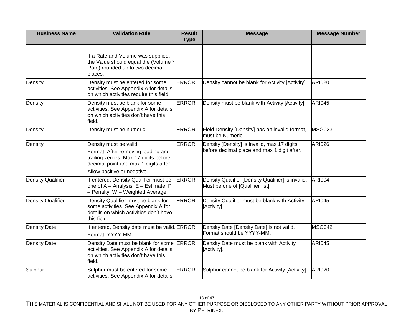| <b>Business Name</b>     | <b>Validation Rule</b>                                                                                                                                                        | <b>Result</b><br><b>Type</b> | <b>Message</b>                                                                             | <b>Message Number</b> |
|--------------------------|-------------------------------------------------------------------------------------------------------------------------------------------------------------------------------|------------------------------|--------------------------------------------------------------------------------------------|-----------------------|
|                          | If a Rate and Volume was supplied,<br>the Value should equal the (Volume *<br>Rate) rounded up to two decimal<br>places.                                                      |                              |                                                                                            |                       |
| Density                  | Density must be entered for some<br>activities. See Appendix A for details<br>on which activities require this field.                                                         | <b>ERROR</b>                 | Density cannot be blank for Activity [Activity].                                           | <b>ARI020</b>         |
| Density                  | Density must be blank for some<br>activities. See Appendix A for details<br>on which activities don't have this<br>field.                                                     | <b>ERROR</b>                 | Density must be blank with Activity [Activity].                                            | <b>ARI045</b>         |
| Density                  | Density must be numeric                                                                                                                                                       | <b>ERROR</b>                 | Field Density [Density] has an invalid format,<br>must be Numeric.                         | MSG023                |
| Density                  | Density must be valid.<br>Format: After removing leading and<br>trailing zeroes, Max 17 digits before<br>decimal point and max 1 digits after.<br>Allow positive or negative. | <b>ERROR</b>                 | Density [Density] is invalid, max 17 digits<br>before decimal place and max 1 digit after. | <b>ARI026</b>         |
| <b>Density Qualifier</b> | If entered, Density Qualifier must be<br>one of A - Analysis, E - Estimate, P<br>- Penalty, W - Weighted Average.                                                             | <b>ERROR</b>                 | Density Qualifier [Density Qualifier] is invalid.<br>Must be one of [Qualifier list].      | <b>ARI004</b>         |
| <b>Density Qualifier</b> | Density Qualifier must be blank for<br>some activities. See Appendix A for<br>details on which activities don't have<br>this field.                                           | <b>ERROR</b>                 | Density Qualifier must be blank with Activity<br>[Activity].                               | <b>ARI045</b>         |
| <b>Density Date</b>      | If entered, Density date must be valid. ERROR<br>Format: YYYY-MM.                                                                                                             |                              | Density Date [Density Date] is not valid.<br>Format should be YYYY-MM.                     | <b>MSG042</b>         |
| <b>Density Date</b>      | Density Date must be blank for some<br>activities. See Appendix A for details<br><b>l</b> on which activities don't have this<br>field.                                       | <b>ERROR</b>                 | Density Date must be blank with Activity<br>[Activity].                                    | <b>ARI045</b>         |
| Sulphur                  | Sulphur must be entered for some<br>activities. See Appendix A for details                                                                                                    | <b>ERROR</b>                 | Sulphur cannot be blank for Activity [Activity].                                           | <b>ARI020</b>         |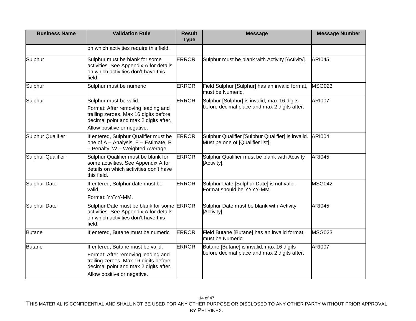| <b>Business Name</b>     | <b>Validation Rule</b>                                                                                                               | <b>Result</b><br><b>Type</b> | <b>Message</b>                                                                        | <b>Message Number</b> |
|--------------------------|--------------------------------------------------------------------------------------------------------------------------------------|------------------------------|---------------------------------------------------------------------------------------|-----------------------|
|                          | on which activities require this field.                                                                                              |                              |                                                                                       |                       |
| Sulphur                  | Sulphur must be blank for some<br>activities. See Appendix A for details<br>on which activities don't have this<br>field.            | <b>ERROR</b>                 | Sulphur must be blank with Activity [Activity].                                       | <b>ARI045</b>         |
| Sulphur                  | Sulphur must be numeric                                                                                                              | <b>ERROR</b>                 | Field Sulphur [Sulphur] has an invalid format,<br>must be Numeric.                    | <b>MSG023</b>         |
| Sulphur                  | Sulphur must be valid.                                                                                                               | <b>ERROR</b>                 | Sulphur [Sulphur] is invalid, max 16 digits                                           | <b>ARI007</b>         |
|                          | Format: After removing leading and<br>trailing zeroes, Max 16 digits before<br>decimal point and max 2 digits after.                 |                              | before decimal place and max 2 digits after.                                          |                       |
|                          | Allow positive or negative.                                                                                                          |                              |                                                                                       |                       |
| <b>Sulphur Qualifier</b> | If entered, Sulphur Qualifier must be<br>one of A - Analysis, E - Estimate, P<br>- Penalty, W - Weighted Average.                    | <b>ERROR</b>                 | Sulphur Qualifier [Sulphur Qualifier] is invalid.<br>Must be one of [Qualifier list]. | <b>ARI004</b>         |
| <b>Sulphur Qualifier</b> | Sulphur Qualifier must be blank for<br>some activities. See Appendix A for<br>details on which activities don't have<br>this field.  | <b>ERROR</b>                 | Sulphur Qualifier must be blank with Activity<br>[Activity].                          | <b>ARI045</b>         |
| Sulphur Date             | If entered, Sulphur date must be<br>valid.<br>Format: YYYY-MM.                                                                       | <b>ERROR</b>                 | Sulphur Date [Sulphur Date] is not valid.<br>Format should be YYYY-MM.                | <b>MSG042</b>         |
| Sulphur Date             | Sulphur Date must be blank for some ERROR<br>activities. See Appendix A for details<br>on which activities don't have this<br>field. |                              | Sulphur Date must be blank with Activity<br>[Activity].                               | <b>ARI045</b>         |
| <b>Butane</b>            | If entered, Butane must be numeric                                                                                                   | <b>ERROR</b>                 | Field Butane [Butane] has an invalid format,<br>must be Numeric.                      | <b>MSG023</b>         |
| <b>Butane</b>            | If entered, Butane must be valid.                                                                                                    | <b>ERROR</b>                 | Butane [Butane] is invalid, max 16 digits                                             | <b>ARI007</b>         |
|                          | Format: After removing leading and<br>trailing zeroes, Max 16 digits before<br>decimal point and max 2 digits after.                 |                              | before decimal place and max 2 digits after.                                          |                       |
|                          | Allow positive or negative.                                                                                                          |                              |                                                                                       |                       |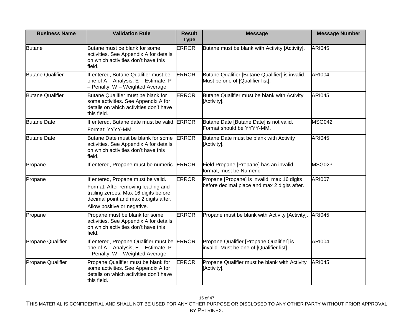| <b>Business Name</b>    | <b>Validation Rule</b>                                                                                                                                                                    | <b>Result</b><br><b>Type</b> | <b>Message</b>                                                                              | <b>Message Number</b> |
|-------------------------|-------------------------------------------------------------------------------------------------------------------------------------------------------------------------------------------|------------------------------|---------------------------------------------------------------------------------------------|-----------------------|
| <b>Butane</b>           | Butane must be blank for some<br>activities. See Appendix A for details<br>on which activities don't have this<br>field.                                                                  | <b>ERROR</b>                 | Butane must be blank with Activity [Activity].                                              | <b>ARI045</b>         |
| <b>Butane Qualifier</b> | If entered, Butane Qualifier must be<br>one of A - Analysis, E - Estimate, P<br>- Penalty, W - Weighted Average.                                                                          | <b>ERROR</b>                 | Butane Qualifier [Butane Qualifier] is invalid.<br>Must be one of [Qualifier list].         | <b>ARI004</b>         |
| <b>Butane Qualifier</b> | Butane Qualifier must be blank for<br>some activities. See Appendix A for<br>details on which activities don't have<br>this field.                                                        | <b>ERROR</b>                 | Butane Qualifier must be blank with Activity<br>[Activity].                                 | <b>ARI045</b>         |
| <b>Butane Date</b>      | If entered, Butane date must be valid. ERROR<br>Format: YYYY-MM.                                                                                                                          |                              | Butane Date [Butane Date] is not valid.<br>Format should be YYYY-MM.                        | MSG042                |
| <b>Butane Date</b>      | Butane Date must be blank for some<br>activities. See Appendix A for details<br>on which activities don't have this<br>field.                                                             | <b>ERROR</b>                 | Butane Date must be blank with Activity<br>[Activity].                                      | <b>ARI045</b>         |
| Propane                 | If entered, Propane must be numeric ERROR                                                                                                                                                 |                              | Field Propane [Propane] has an invalid<br>format, must be Numeric.                          | <b>MSG023</b>         |
| Propane                 | If entered, Propane must be valid.<br>Format: After removing leading and<br>trailing zeroes, Max 16 digits before<br>decimal point and max 2 digits after.<br>Allow positive or negative. | <b>ERROR</b>                 | Propane [Propane] is invalid, max 16 digits<br>before decimal place and max 2 digits after. | <b>ARI007</b>         |
| Propane                 | Propane must be blank for some<br>activities. See Appendix A for details<br>on which activities don't have this<br>field.                                                                 | <b>ERROR</b>                 | Propane must be blank with Activity [Activity].                                             | <b>ARI045</b>         |
| Propane Qualifier       | If entered, Propane Qualifier must be<br>one of A - Analysis, E - Estimate, P<br>- Penalty, W - Weighted Average.                                                                         | <b>ERROR</b>                 | Propane Qualifier [Propane Qualifier] is<br>invalid. Must be one of [Qualifier list].       | <b>ARI004</b>         |
| Propane Qualifier       | Propane Qualifier must be blank for<br>some activities. See Appendix A for<br>details on which activities don't have<br>this field.                                                       | <b>ERROR</b>                 | Propane Qualifier must be blank with Activity<br>[Activity].                                | <b>ARI045</b>         |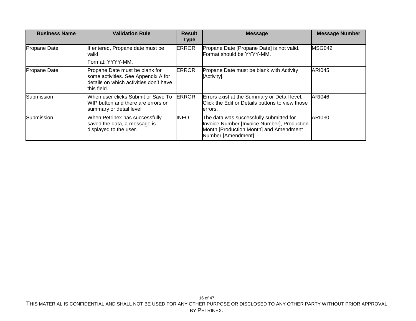| <b>Business Name</b> | <b>Validation Rule</b>                                                                                                         | <b>Result</b><br><b>Type</b> | <b>Message</b>                                                                                                                                          | <b>Message Number</b> |
|----------------------|--------------------------------------------------------------------------------------------------------------------------------|------------------------------|---------------------------------------------------------------------------------------------------------------------------------------------------------|-----------------------|
| Propane Date         | If entered, Propane date must be<br>valid.<br><b>IFormat: YYYY-MM.</b>                                                         | <b>ERROR</b>                 | Propane Date [Propane Date] is not valid.<br>Format should be YYYY-MM.                                                                                  | <b>MSG042</b>         |
| Propane Date         | Propane Date must be blank for<br>some activities. See Appendix A for<br>details on which activities don't have<br>this field. | <b>ERROR</b>                 | Propane Date must be blank with Activity<br>[Activity].                                                                                                 | <b>ARI045</b>         |
| Submission           | When user clicks Submit or Save To<br>IWIP button and there are errors on<br>summary or detail level                           | <b>ERROR</b>                 | Errors exist at the Summary or Detail level.<br>Click the Edit or Details buttons to view those<br>lerrors.                                             | <b>ARI046</b>         |
| Submission           | When Petrinex has successfully<br>saved the data, a message is<br>displayed to the user.                                       | <b>INFO</b>                  | The data was successfully submitted for<br>Invoice Number [Invoice Number], Production<br>Month [Production Month] and Amendment<br>Number [Amendment]. | <b>ARI030</b>         |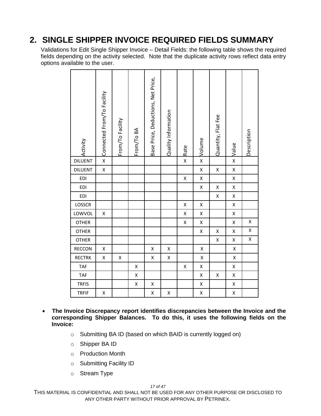#### <span id="page-16-0"></span>**2. SINGLE SHIPPER INVOICE REQUIRED FIELDS SUMMARY**

Validations for Edit Single Shipper Invoice – Detail Fields: the following table shows the required fields depending on the activity selected. Note that the duplicate activity rows reflect data entry options available to the user.

| Activity       | Connected From/To Facility | From/To Facility | From/To BA         | Base Price, Deductions, Net Price, | Quality Information | Rate               | × Volume           | Quantity, Flat Fee | $\times$  Value    | Description |
|----------------|----------------------------|------------------|--------------------|------------------------------------|---------------------|--------------------|--------------------|--------------------|--------------------|-------------|
| <b>DILUENT</b> | $\overline{\mathsf{x}}$    |                  |                    |                                    |                     | $\mathsf{x}$       |                    |                    |                    |             |
| <b>DILUENT</b> | X                          |                  |                    |                                    |                     |                    | X                  | X                  | X                  |             |
| EDI            |                            |                  |                    |                                    |                     | X                  | $\pmb{\mathsf{X}}$ |                    | $\pmb{\mathsf{X}}$ |             |
| <b>EDI</b>     |                            |                  |                    |                                    |                     |                    | X                  | X                  | $\pmb{\mathsf{X}}$ |             |
| EDI            |                            |                  |                    |                                    |                     |                    |                    | X                  | $\pmb{\mathsf{X}}$ |             |
| LOSSCR         |                            |                  |                    |                                    |                     | X                  | X                  |                    | X                  |             |
| LOWVOL         | X                          |                  |                    |                                    |                     | X                  | X                  |                    | $\pmb{\mathsf{X}}$ |             |
| <b>OTHER</b>   |                            |                  |                    |                                    |                     | $\pmb{\mathsf{X}}$ | Χ                  |                    | X                  | X           |
| <b>OTHER</b>   |                            |                  |                    |                                    |                     |                    | X                  | X                  | Χ                  | X           |
| <b>OTHER</b>   |                            |                  |                    |                                    |                     |                    |                    | X                  | X                  | X           |
| RECCON         | X                          |                  |                    | X                                  | X                   |                    | X                  |                    | $\pmb{\mathsf{X}}$ |             |
| <b>RECTRK</b>  | Χ                          | Χ                |                    | Χ                                  | Χ                   |                    | $\pmb{\mathsf{X}}$ |                    | $\pmb{\mathsf{X}}$ |             |
| <b>TAF</b>     |                            |                  | X                  |                                    |                     | X                  | X                  |                    | X                  |             |
| <b>TAF</b>     |                            |                  | $\pmb{\mathsf{X}}$ |                                    |                     |                    | X                  | X                  | X                  |             |
| <b>TRFIS</b>   |                            |                  | Χ                  | X                                  |                     |                    | X                  |                    | X                  |             |
| <b>TRFIF</b>   | Χ                          |                  |                    | X                                  | X                   |                    | Χ                  |                    | X                  |             |

- **The Invoice Discrepancy report identifies discrepancies between the Invoice and the corresponding Shipper Balances. To do this, it uses the following fields on the Invoice:** 
	- o Submitting BA ID (based on which BAID is currently logged on)
	- o Shipper BA ID
	- o Production Month
	- o Submitting Facility ID
	- o Stream Type

*17 of 47*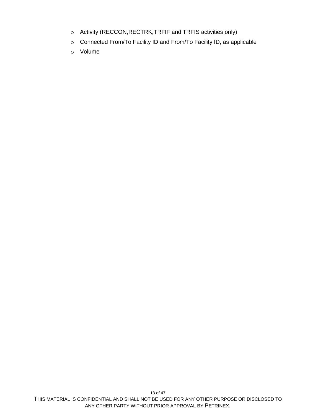- o Activity (RECCON,RECTRK,TRFIF and TRFIS activities only)
- o Connected From/To Facility ID and From/To Facility ID, as applicable
- o Volume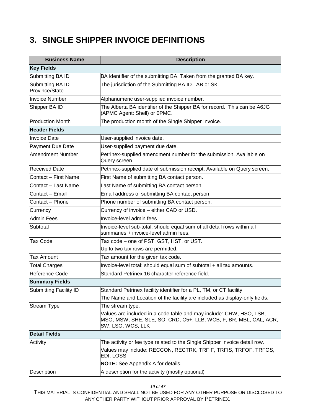#### <span id="page-18-0"></span>**3. SINGLE SHIPPER INVOICE DEFINITIONS**

| <b>Business Name</b>               | <b>Description</b>                                                                                                                                            |
|------------------------------------|---------------------------------------------------------------------------------------------------------------------------------------------------------------|
| <b>Key Fields</b>                  |                                                                                                                                                               |
| Submitting BA ID                   | BA identifier of the submitting BA. Taken from the granted BA key.                                                                                            |
| Submitting BA ID<br>Province/State | The jurisdiction of the Submitting BA ID. AB or SK.                                                                                                           |
| <b>Invoice Number</b>              | Alphanumeric user-supplied invoice number.                                                                                                                    |
| Shipper BA ID                      | The Alberta BA identifier of the Shipper BA for record. This can be A6JG<br>(APMC Agent: Shell) or 0PMC.                                                      |
| <b>Production Month</b>            | The production month of the Single Shipper Invoice.                                                                                                           |
| <b>Header Fields</b>               |                                                                                                                                                               |
| <b>Invoice Date</b>                | User-supplied invoice date.                                                                                                                                   |
| Payment Due Date                   | User-supplied payment due date.                                                                                                                               |
| Amendment Number                   | Petrinex-supplied amendment number for the submission. Available on<br>Query screen.                                                                          |
| <b>Received Date</b>               | Petrinex-supplied date of submission receipt. Available on Query screen.                                                                                      |
| Contact – First Name               | First Name of submitting BA contact person.                                                                                                                   |
| Contact - Last Name                | Last Name of submitting BA contact person.                                                                                                                    |
| Contact - Email                    | Email address of submitting BA contact person.                                                                                                                |
| Contact - Phone                    | Phone number of submitting BA contact person.                                                                                                                 |
| Currency                           | Currency of invoice - either CAD or USD.                                                                                                                      |
| Admin Fees                         | Invoice-level admin fees.                                                                                                                                     |
| Subtotal                           | Invoice-level sub-total; should equal sum of all detail rows within all<br>summaries + invoice-level admin fees.                                              |
| <b>Tax Code</b>                    | Tax code - one of PST, GST, HST, or UST.                                                                                                                      |
|                                    | Up to two tax rows are permitted.                                                                                                                             |
| <b>Tax Amount</b>                  | Tax amount for the given tax code.                                                                                                                            |
| <b>Total Charges</b>               | Invoice-level total; should equal sum of subtotal + all tax amounts.                                                                                          |
| Reference Code                     | Standard Petrinex 16 character reference field.                                                                                                               |
| <b>Summary Fields</b>              |                                                                                                                                                               |
| Submitting Facility ID             | Standard Petrinex facility identifier for a PL, TM, or CT facility.                                                                                           |
|                                    | The Name and Location of the facility are included as display-only fields.                                                                                    |
| <b>Stream Type</b>                 | The stream type.                                                                                                                                              |
|                                    | Values are included in a code table and may include: CRW, HSO, LSB,<br>MSO, MSW, SHE, SLE, SO, CRD, C5+, LLB, WCB, F, BR, MBL, CAL, ACR,<br>SW, LSO, WCS, LLK |
| <b>Detail Fields</b>               |                                                                                                                                                               |
| Activity                           | The activity or fee type related to the Single Shipper Invoice detail row.                                                                                    |
|                                    | Values may include: RECCON, RECTRK, TRFIF, TRFIS, TRFOF, TRFOS,<br>EDI, LOSS                                                                                  |
|                                    | <b>NOTE:</b> See Appendix A for details.                                                                                                                      |
| <b>Description</b>                 | A description for the activity (mostly optional)                                                                                                              |

*19 of 47*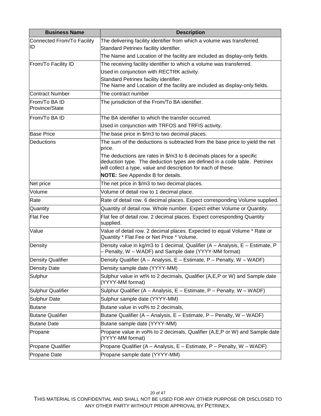| <b>Business Name</b>            | <b>Description</b>                                                                                                                                                                                                  |
|---------------------------------|---------------------------------------------------------------------------------------------------------------------------------------------------------------------------------------------------------------------|
| Connected From/To Facility      | The delivering facility identifier from which a volume was transferred.                                                                                                                                             |
| ID                              | Standard Petrinex facility identifier.                                                                                                                                                                              |
|                                 | The Name and Location of the facility are included as display-only fields.                                                                                                                                          |
| From/To Facility ID             | The receiving facility identifier to which a volume was transferred.                                                                                                                                                |
|                                 | Used in conjunction with RECTRK activity.                                                                                                                                                                           |
|                                 | Standard Petrinex facility identifier.                                                                                                                                                                              |
|                                 | The Name and Location of the facility are included as display-only fields.                                                                                                                                          |
| Contract Number                 | The contract number                                                                                                                                                                                                 |
| From/To BA ID<br>Province/State | The jurisdiction of the From/To BA identifier.                                                                                                                                                                      |
| From/To BA ID                   | The BA identifier to which the transfer occurred.                                                                                                                                                                   |
|                                 | Used in conjunction with TRFOS and TRFIS activity.                                                                                                                                                                  |
| <b>Base Price</b>               | The base price in \$/m3 to two decimal places.                                                                                                                                                                      |
| Deductions                      | The sum of the deductions is subtracted from the base price to yield the net<br>price.                                                                                                                              |
|                                 | The deductions are rates in \$/m3 to 6 decimals places for a specific<br>deduction type. The deduction types are defined in a code table. Petrinex<br>will collect a type, value and description for each of these. |
|                                 | <b>NOTE:</b> See Appendix B for details.                                                                                                                                                                            |
| Net price                       | The net price in \$/m3 to two decimal places.                                                                                                                                                                       |
| Volume                          | Volume of detail row to 1 decimal place.                                                                                                                                                                            |
| Rate                            | Rate of detail row. 6 decimal places. Expect corresponding Volume supplied.                                                                                                                                         |
| Quantity                        | Quantity of detail row. Whole number. Expect either Volume or Quantity.                                                                                                                                             |
| <b>Flat Fee</b>                 | Flat fee of detail row. 2 decimal places. Expect corresponding Quantity<br>supplied.                                                                                                                                |
| Value                           | Value of detail row. 2 decimal places. Expected to equal Volume * Rate or<br>Quantity * Flat Fee or Net Price * Volume.                                                                                             |
| Density                         | Density value in kg/m3 to 1 decimal, Qualifier (A - Analysis, E - Estimate, P<br>- Penalty, W - WADF) and Sample date (YYYY-MM format)                                                                              |
| <b>Density Qualifier</b>        | Density Qualifier (A - Analysis, E - Estimate, P - Penalty, W - WADF)                                                                                                                                               |
| <b>Density Date</b>             | Density sample date (YYYY-MM)                                                                                                                                                                                       |
| Sulphur                         | Sulphur value in wt% to 2 decimals, Qualifier (A, E, P or W) and Sample date<br>(YYYY-MM format)                                                                                                                    |
| Sulphur Qualifier               | Sulphur Qualifier (A - Analysis, E - Estimate, P - Penalty, W - WADF)                                                                                                                                               |
| <b>Sulphur Date</b>             | Sulphur sample date (YYYY-MM)                                                                                                                                                                                       |
| <b>Butane</b>                   | Butane value in vol% to 2 decimals,                                                                                                                                                                                 |
| <b>Butane Qualifier</b>         | Butane Qualifier (A - Analysis, E - Estimate, P - Penalty, W - WADF)                                                                                                                                                |
| <b>Butane Date</b>              | Butane sample date (YYYY-MM)                                                                                                                                                                                        |
| Propane                         | Propane value in vol% to 2 decimals, Qualifier (A, E, P or W) and Sample date<br>(YYYY-MM format)                                                                                                                   |
| <b>Propane Qualifier</b>        | Propane Qualifier (A - Analysis, E - Estimate, P - Penalty, W - WADF)                                                                                                                                               |
| <b>Propane Date</b>             | Propane sample date (YYYY-MM)                                                                                                                                                                                       |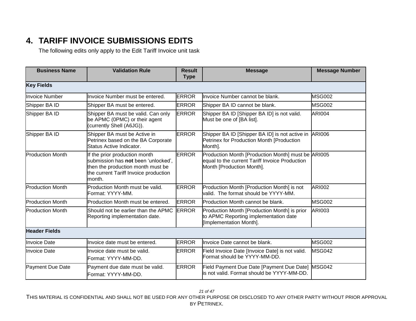### **4. TARIFF INVOICE SUBMISSIONS EDITS**

The following edits only apply to the Edit Tariff Invoice unit task

<span id="page-20-0"></span>

| <b>Business Name</b>    | <b>Validation Rule</b>                                                                                                                                       | <b>Result</b><br><b>Type</b> | <b>Message</b>                                                                                                                    | <b>Message Number</b> |
|-------------------------|--------------------------------------------------------------------------------------------------------------------------------------------------------------|------------------------------|-----------------------------------------------------------------------------------------------------------------------------------|-----------------------|
| <b>Key Fields</b>       |                                                                                                                                                              |                              |                                                                                                                                   |                       |
| <b>Invoice Number</b>   | Invoice Number must be entered.                                                                                                                              | <b>ERROR</b>                 | Invoice Number cannot be blank.                                                                                                   | <b>MSG002</b>         |
| Shipper BA ID           | Shipper BA must be entered.                                                                                                                                  | <b>ERROR</b>                 | Shipper BA ID cannot be blank.                                                                                                    | <b>MSG002</b>         |
| Shipper BA ID           | Shipper BA must be valid. Can only<br>be APMC (0PMC) or their agent<br>(currently Shell (A6JG)).                                                             | <b>ERROR</b>                 | Shipper BA ID [Shipper BA ID] is not valid.<br>Must be one of [BA list].                                                          | <b>ARI004</b>         |
| Shipper BA ID           | Shipper BA must be Active in<br>Petrinex based on the BA Corporate<br>Status Active Indicator.                                                               | <b>ERROR</b>                 | Shipper BA ID [Shipper BA ID] is not active in<br>Petrinex for Production Month [Production<br>Month].                            | <b>ARI006</b>         |
| <b>Production Month</b> | If the prior production month<br>submission has not been 'unlocked',<br>then the production month must be<br>the current Tariff Invoice production<br>month. | <b>ERROR</b>                 | Production Month [Production Month] must be ARI005<br>equal to the current Tariff Invoice Production<br>Month [Production Month]. |                       |
| <b>Production Month</b> | Production Month must be valid.<br>Format: YYYY-MM.                                                                                                          | <b>ERROR</b>                 | Production Month [Production Month] is not<br>valid. The format should be YYYY-MM.                                                | <b>ARI002</b>         |
| <b>Production Month</b> | Production Month must be entered.                                                                                                                            | <b>ERROR</b>                 | Production Month cannot be blank.                                                                                                 | <b>MSG002</b>         |
| <b>Production Month</b> | Should not be earlier than the APMC<br>Reporting implementation date.                                                                                        | <b>ERROR</b>                 | Production Month [Production Month] is prior<br>to APMC Reporting implementation date<br>[Implementation Month].                  | <b>ARI003</b>         |
| <b>Header Fields</b>    |                                                                                                                                                              |                              |                                                                                                                                   |                       |
| <b>Invoice Date</b>     | Invoice date must be entered.                                                                                                                                | <b>ERROR</b>                 | Invoice Date cannot be blank.                                                                                                     | <b>MSG002</b>         |
| <b>Invoice Date</b>     | Invoice date must be valid.<br>Format: YYYY-MM-DD.                                                                                                           | <b>ERROR</b>                 | Field Invoice Date [Invoice Date] is not valid.<br>Format should be YYYY-MM-DD.                                                   | MSG042                |
| Payment Due Date        | Payment due date must be valid.<br>Format: YYYY-MM-DD.                                                                                                       | <b>ERROR</b>                 | Field Payment Due Date [Payment Due Date]<br>is not valid. Format should be YYYY-MM-DD.                                           | MSG042                |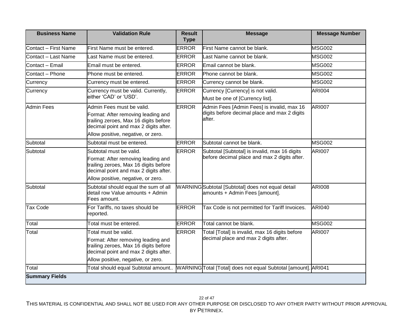| <b>Business Name</b>  | <b>Validation Rule</b>                                                                                                                                                                  | <b>Result</b><br><b>Type</b> | <b>Message</b>                                                                                       | <b>Message Number</b> |
|-----------------------|-----------------------------------------------------------------------------------------------------------------------------------------------------------------------------------------|------------------------------|------------------------------------------------------------------------------------------------------|-----------------------|
| Contact - First Name  | First Name must be entered.                                                                                                                                                             | <b>ERROR</b>                 | First Name cannot be blank.                                                                          | <b>MSG002</b>         |
| Contact - Last Name   | Last Name must be entered.                                                                                                                                                              | <b>ERROR</b>                 | Last Name cannot be blank.                                                                           | <b>MSG002</b>         |
| Contact - Email       | Email must be entered.                                                                                                                                                                  | <b>ERROR</b>                 | Email cannot be blank.                                                                               | <b>MSG002</b>         |
| Contact - Phone       | Phone must be entered.                                                                                                                                                                  | <b>ERROR</b>                 | Phone cannot be blank.                                                                               | <b>MSG002</b>         |
| Currency              | Currency must be entered.                                                                                                                                                               | <b>ERROR</b>                 | Currency cannot be blank.                                                                            | <b>MSG002</b>         |
| Currency              | Currency must be valid. Currently,<br>either 'CAD' or 'USD'.                                                                                                                            | <b>ERROR</b>                 | Currency [Currency] is not valid.<br>Must be one of [Currency list].                                 | <b>ARI004</b>         |
| <b>Admin Fees</b>     | Admin Fees must be valid.<br>Format: After removing leading and<br>trailing zeroes, Max 16 digits before<br>decimal point and max 2 digits after.<br>Allow positive, negative, or zero. | <b>ERROR</b>                 | Admin Fees [Admin Fees] is invalid, max 16<br>digits before decimal place and max 2 digits<br>after. | <b>ARI007</b>         |
| Subtotal              | Subtotal must be entered.                                                                                                                                                               | <b>ERROR</b>                 | Subtotal cannot be blank.                                                                            | <b>MSG002</b>         |
| Subtotal              | Subtotal must be valid.<br>Format: After removing leading and<br>trailing zeroes, Max 16 digits before<br>decimal point and max 2 digits after.<br>Allow positive, negative, or zero.   | <b>ERROR</b>                 | Subtotal [Subtotal] is invalid, max 16 digits<br>before decimal place and max 2 digits after.        | <b>ARI007</b>         |
| Subtotal              | Subtotal should equal the sum of all<br>detail row Value amounts + Admin<br>Fees amount.                                                                                                |                              | WARNINGSubtotal [Subtotal] does not equal detail<br>amounts + Admin Fees [amount].                   | <b>ARI008</b>         |
| <b>Tax Code</b>       | For Tariffs, no taxes should be<br>reported.                                                                                                                                            | <b>ERROR</b>                 | Tax Code is not permitted for Tariff Invoices.                                                       | <b>ARI040</b>         |
| Total                 | Total must be entered.                                                                                                                                                                  | <b>ERROR</b>                 | Total cannot be blank.                                                                               | <b>MSG002</b>         |
| Total                 | Total must be valid.<br>Format: After removing leading and<br>trailing zeroes, Max 16 digits before<br>decimal point and max 2 digits after.<br>Allow positive, negative, or zero.      | <b>ERROR</b>                 | Total [Total] is invalid, max 16 digits before<br>decimal place and max 2 digits after.              | <b>ARI007</b>         |
| Total                 | Total should equal Subtotal amount                                                                                                                                                      |                              | WARNINGTotal [Total] does not equal Subtotal [amount]. ARI041                                        |                       |
| <b>Summary Fields</b> |                                                                                                                                                                                         |                              |                                                                                                      |                       |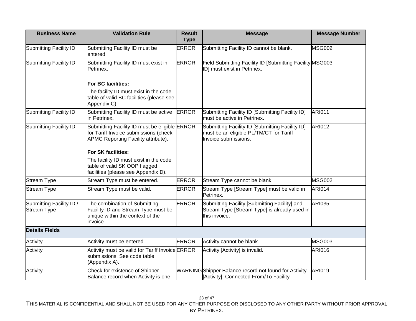| <b>Business Name</b>                           | <b>Validation Rule</b>                                                                                                        | <b>Result</b><br><b>Type</b> | <b>Message</b>                                                                                                     | <b>Message Number</b> |
|------------------------------------------------|-------------------------------------------------------------------------------------------------------------------------------|------------------------------|--------------------------------------------------------------------------------------------------------------------|-----------------------|
| Submitting Facility ID                         | Submitting Facility ID must be<br>entered.                                                                                    | <b>ERROR</b>                 | Submitting Facility ID cannot be blank.                                                                            | <b>MSG002</b>         |
| Submitting Facility ID                         | Submitting Facility ID must exist in<br>Petrinex.                                                                             | <b>ERROR</b>                 | Field Submitting Facility ID [Submitting Facility MSG003<br>ID] must exist in Petrinex.                            |                       |
|                                                | For BC facilities:                                                                                                            |                              |                                                                                                                    |                       |
|                                                | The facility ID must exist in the code<br>table of valid BC facilities (please see<br>Appendix C).                            |                              |                                                                                                                    |                       |
| Submitting Facility ID                         | Submitting Facility ID must be active<br>in Petrinex.                                                                         | <b>ERROR</b>                 | Submitting Facility ID [Submitting Facility ID]<br>must be active in Petrinex.                                     | <b>ARI011</b>         |
| Submitting Facility ID                         | Submitting Facility ID must be eligible ERROR<br>for Tariff Invoice submissions (check<br>APMC Reporting Facility attribute). |                              | Submitting Facility ID [Submitting Facility ID]<br>must be an eligible PL/TM/CT for Tariff<br>Invoice submissions. | <b>ARI012</b>         |
|                                                | For SK facilities:                                                                                                            |                              |                                                                                                                    |                       |
|                                                | The facility ID must exist in the code<br>table of valid SK OOP flagged<br>facilities (please see Appendix D).                |                              |                                                                                                                    |                       |
| <b>Stream Type</b>                             | Stream Type must be entered.                                                                                                  | <b>ERROR</b>                 | Stream Type cannot be blank.                                                                                       | <b>MSG002</b>         |
| <b>Stream Type</b>                             | Stream Type must be valid.                                                                                                    | <b>ERROR</b>                 | Stream Type [Stream Type] must be valid in<br>Petrinex.                                                            | <b>ARI014</b>         |
| Submitting Facility ID /<br><b>Stream Type</b> | The combination of Submitting<br>Facility ID and Stream Type must be<br>unique within the context of the<br>invoice.          | <b>ERROR</b>                 | Submitting Facility [Submitting Facility] and<br>Stream Type [Stream Type] is already used in<br>this invoice.     | <b>ARI035</b>         |
| <b>Details Fields</b>                          |                                                                                                                               |                              |                                                                                                                    |                       |
| Activity                                       | Activity must be entered.                                                                                                     | <b>ERROR</b>                 | Activity cannot be blank.                                                                                          | <b>MSG003</b>         |
| Activity                                       | Activity must be valid for Tariff Invoice ERROR<br>submissions. See code table<br>(Appendix A).                               |                              | Activity [Activity] is invalid.                                                                                    | <b>ARI016</b>         |
| Activity                                       | Check for existence of Shipper<br>Balance record when Activity is one                                                         |                              | WARNINGShipper Balance record not found for Activity<br>[Activity], Connected From/To Facility                     | <b>ARI019</b>         |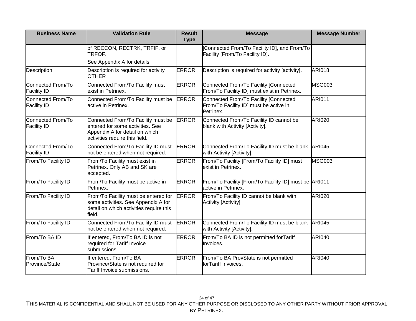| <b>Business Name</b>                    | <b>Validation Rule</b>                                                                                                                     | <b>Result</b><br><b>Type</b> | <b>Message</b>                                                                               | <b>Message Number</b> |
|-----------------------------------------|--------------------------------------------------------------------------------------------------------------------------------------------|------------------------------|----------------------------------------------------------------------------------------------|-----------------------|
|                                         | of RECCON, RECTRK, TRFIF, or<br>TRFOF.<br>See Appendix A for details.                                                                      |                              | Connected From/To Facility ID], and From/To<br>Facility [From/To Facility ID].               |                       |
| Description                             | Description is required for activity<br><b>OTHER</b>                                                                                       | <b>ERROR</b>                 | Description is required for activity [activity].                                             | <b>ARI018</b>         |
| Connected From/To<br><b>Facility ID</b> | Connected From/To Facility must<br>exist in Petrinex.                                                                                      | <b>ERROR</b>                 | Connected From/To Facility [Connected<br>From/To Facility ID] must exist in Petrinex.        | <b>MSG003</b>         |
| Connected From/To<br><b>Facility ID</b> | Connected From/To Facility must be<br>active in Petrinex.                                                                                  | <b>ERROR</b>                 | Connected From/To Facility [Connected<br>From/To Facility ID] must be active in<br>Petrinex. | <b>ARI011</b>         |
| Connected From/To<br><b>Facility ID</b> | Connected From/To Facility must be<br>entered for some activities. See<br>Appendix A for detail on which<br>activities require this field. | <b>ERROR</b>                 | Connected From/To Facility ID cannot be<br>blank with Activity [Activity].                   | <b>ARI020</b>         |
| Connected From/To<br><b>Facility ID</b> | Connected From/To Facility ID must<br>not be entered when not required.                                                                    | <b>ERROR</b>                 | Connected From/To Facility ID must be blank<br>with Activity [Activity].                     | <b>ARI045</b>         |
| From/To Facility ID                     | From/To Facility must exist in<br>Petrinex. Only AB and SK are<br>accepted.                                                                | <b>ERROR</b>                 | From/To Facility [From/To Facility ID] must<br>exist in Petrinex.                            | <b>MSG003</b>         |
| From/To Facility ID                     | From/To Facility must be active in<br>Petrinex.                                                                                            | <b>ERROR</b>                 | From/To Facility [From/To Facility ID] must be ARI011<br>active in Petrinex.                 |                       |
| From/To Facility ID                     | From/To Facility must be entered for<br>some activities. See Appendix A for<br>detail on which activities require this<br>field.           | <b>ERROR</b>                 | From/To Facility ID cannot be blank with<br>Activity [Activity].                             | <b>ARI020</b>         |
| From/To Facility ID                     | Connected From/To Facility ID must<br>not be entered when not required.                                                                    | <b>ERROR</b>                 | Connected From/To Facility ID must be blank<br>with Activity [Activity].                     | <b>ARI045</b>         |
| From/To BA ID                           | If entered, From/To BA ID is not<br>required for Tariff Invoice<br>submissions.                                                            | <b>ERROR</b>                 | From/To BA ID is not permitted forTariff<br>Invoices.                                        | <b>ARI040</b>         |
| From/To BA<br>Province/State            | If entered, From/To BA<br>Province/State is not required for<br>Tariff Invoice submissions.                                                | <b>ERROR</b>                 | From/To BA ProvState is not permitted<br>forTariff Invoices.                                 | <b>ARI040</b>         |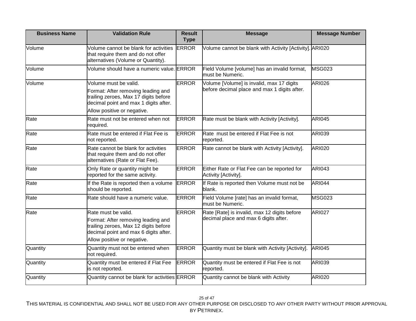| <b>Business Name</b> | <b>Validation Rule</b>                                                                                                                                                       | <b>Result</b><br><b>Type</b> | <b>Message</b>                                                                            | <b>Message Number</b> |
|----------------------|------------------------------------------------------------------------------------------------------------------------------------------------------------------------------|------------------------------|-------------------------------------------------------------------------------------------|-----------------------|
| Volume               | Volume cannot be blank for activities<br>that require them and do not offer<br>alternatives (Volume or Quantity).                                                            | <b>ERROR</b>                 | Volume cannot be blank with Activity [Activity]. ARI020                                   |                       |
| Volume               | Volume should have a numeric value. ERROR                                                                                                                                    |                              | Field Volume [volume] has an invalid format,<br>must be Numeric.                          | <b>MSG023</b>         |
| Volume               | Volume must be valid.<br>Format: After removing leading and<br>trailing zeroes, Max 17 digits before<br>decimal point and max 1 digits after.<br>Allow positive or negative. | <b>ERROR</b>                 | Volume [Volume] is invalid, max 17 digits<br>before decimal place and max 1 digits after. | <b>ARI026</b>         |
| Rate                 | Rate must not be entered when not<br>required.                                                                                                                               | <b>ERROR</b>                 | Rate must be blank with Activity [Activity].                                              | <b>ARI045</b>         |
| Rate                 | Rate must be entered if Flat Fee is<br>not reported.                                                                                                                         | <b>ERROR</b>                 | Rate must be entered if Flat Fee is not<br>reported.                                      | <b>ARI039</b>         |
| Rate                 | Rate cannot be blank for activities<br>that require them and do not offer<br>alternatives (Rate or Flat Fee).                                                                | <b>ERROR</b>                 | Rate cannot be blank with Activity [Activity].                                            | <b>ARI020</b>         |
| Rate                 | Only Rate or quantity might be<br>reported for the same activity.                                                                                                            | <b>ERROR</b>                 | Either Rate or Flat Fee can be reported for<br>Activity [Activity].                       | <b>ARI043</b>         |
| Rate                 | If the Rate is reported then a volume<br>should be reported.                                                                                                                 | <b>ERROR</b>                 | If Rate is reported then Volume must not be<br>blank.                                     | <b>ARI044</b>         |
| Rate                 | Rate should have a numeric value.                                                                                                                                            | <b>ERROR</b>                 | Field Volume [rate] has an invalid format,<br>must be Numeric.                            | <b>MSG023</b>         |
| Rate                 | Rate must be valid.<br>Format: After removing leading and<br>trailing zeroes, Max 12 digits before<br>decimal point and max 6 digits after.<br>Allow positive or negative.   | <b>ERROR</b>                 | Rate [Rate] is invalid, max 12 digits before<br>decimal place and max 6 digits after.     | <b>ARI027</b>         |
| Quantity             | Quantity must not be entered when<br>not required.                                                                                                                           | <b>ERROR</b>                 | Quantity must be blank with Activity [Activity].                                          | <b>ARI045</b>         |
| Quantity             | Quantity must be entered if Flat Fee<br>is not reported.                                                                                                                     | <b>ERROR</b>                 | Quantity must be entered if Flat Fee is not<br>reported.                                  | <b>ARI039</b>         |
| Quantity             | Quantity cannot be blank for activities ERROR                                                                                                                                |                              | Quantity cannot be blank with Activity                                                    | <b>ARI020</b>         |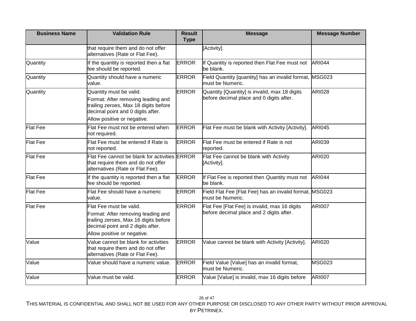| <b>Business Name</b> | <b>Validation Rule</b>                                                                                                                                                     | <b>Result</b><br><b>Type</b> | <b>Message</b>                                                                            | <b>Message Number</b> |
|----------------------|----------------------------------------------------------------------------------------------------------------------------------------------------------------------------|------------------------------|-------------------------------------------------------------------------------------------|-----------------------|
|                      | that require them and do not offer<br>alternatives (Rate or Flat Fee).                                                                                                     |                              | [Activity].                                                                               |                       |
| Quantity             | If the quantity is reported then a flat<br>fee should be reported.                                                                                                         | <b>ERROR</b>                 | If Quantity is reported then Flat Fee must not<br>be blank.                               | <b>ARI044</b>         |
| Quantity             | Quantity should have a numeric<br>value.                                                                                                                                   | <b>ERROR</b>                 | Field Quantity [quantity] has an invalid format, MSG023<br>must be Numeric.               |                       |
| Quantity             | Quantity must be valid.<br>Format: After removing leading and<br>trailing zeroes, Max 18 digits before<br>decimal point and 0 digits after.<br>Allow positive or negative. | <b>ERROR</b>                 | Quantity [Quantity] is invalid, max 18 digits<br>before decimal place and 0 digits after. | <b>ARI028</b>         |
| <b>Flat Fee</b>      | Flat Fee must not be entered when<br>not required.                                                                                                                         | <b>ERROR</b>                 | Flat Fee must be blank with Activity [Activity].                                          | <b>ARI045</b>         |
| <b>Flat Fee</b>      | Flat Fee must be entered if Rate is<br>not reported.                                                                                                                       | <b>ERROR</b>                 | Flat Fee must be entered if Rate is not<br>reported.                                      | <b>ARI039</b>         |
| <b>Flat Fee</b>      | Flat Fee cannot be blank for activities ERROR<br>that require them and do not offer<br>alternatives (Rate or Flat Fee).                                                    |                              | Flat Fee cannot be blank with Activity<br>[Activity].                                     | <b>ARI020</b>         |
| <b>Flat Fee</b>      | If the quantity is reported then a flat<br>fee should be reported.                                                                                                         | <b>ERROR</b>                 | If Flat Fee is reported then Quantity must not<br>be blank.                               | <b>ARI044</b>         |
| <b>Flat Fee</b>      | Flat Fee should have a numeric<br>value.                                                                                                                                   | <b>ERROR</b>                 | Field Flat Fee [Flat Fee] has an invalid format, MSG023<br>must be Numeric.               |                       |
| <b>Flat Fee</b>      | Flat Fee must be valid.<br>Format: After removing leading and<br>trailing zeroes, Max 16 digits before<br>decimal point and 2 digits after.<br>Allow positive or negative. | <b>ERROR</b>                 | Flat Fee [Flat Fee] is invalid, max 16 digits<br>before decimal place and 2 digits after. | <b>ARI007</b>         |
| Value                | Value cannot be blank for activities<br>that require them and do not offer<br>alternatives (Rate or Flat Fee).                                                             | <b>ERROR</b>                 | Value cannot be blank with Activity [Activity].                                           | <b>ARI020</b>         |
| Value                | Value should have a numeric value.                                                                                                                                         | <b>ERROR</b>                 | Field Value [Value] has an invalid format,<br>must be Numeric.                            | <b>MSG023</b>         |
| Value                | Value must be valid.                                                                                                                                                       | <b>ERROR</b>                 | Value [Value] is invalid, max 16 digits before                                            | <b>ARI007</b>         |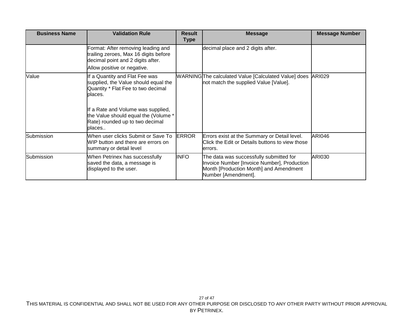| <b>Business Name</b> | <b>Validation Rule</b>                                                                                                  | <b>Result</b><br>Type | <b>Message</b>                                                                                                                                          | <b>Message Number</b> |
|----------------------|-------------------------------------------------------------------------------------------------------------------------|-----------------------|---------------------------------------------------------------------------------------------------------------------------------------------------------|-----------------------|
|                      | Format: After removing leading and<br>trailing zeroes, Max 16 digits before<br>decimal point and 2 digits after.        |                       | decimal place and 2 digits after.                                                                                                                       |                       |
|                      | Allow positive or negative.                                                                                             |                       |                                                                                                                                                         |                       |
| Value                | If a Quantity and Flat Fee was<br>supplied, the Value should equal the<br>Quantity * Flat Fee to two decimal<br>places. |                       | WARNINGThe calculated Value [Calculated Value] does<br>not match the supplied Value [Value].                                                            | <b>ARI029</b>         |
|                      | If a Rate and Volume was supplied,<br>the Value should equal the (Volume *<br>Rate) rounded up to two decimal<br>places |                       |                                                                                                                                                         |                       |
| Submission           | When user clicks Submit or Save To<br>WIP button and there are errors on<br>summary or detail level                     | <b>ERROR</b>          | Errors exist at the Summary or Detail level.<br>Click the Edit or Details buttons to view those<br>lerrors.                                             | <b>ARI046</b>         |
| Submission           | When Petrinex has successfully<br>saved the data, a message is<br>displayed to the user.                                | <b>INFO</b>           | The data was successfully submitted for<br>Invoice Number [Invoice Number], Production<br>Month [Production Month] and Amendment<br>Number [Amendment]. | <b>ARI030</b>         |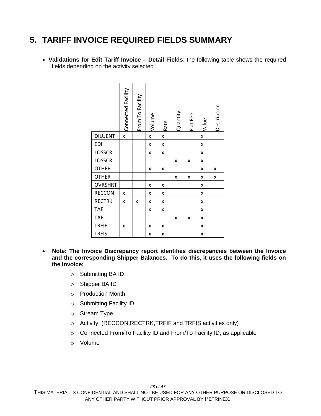#### <span id="page-27-0"></span>**5. TARIFF INVOICE REQUIRED FIELDS SUMMARY**

 **Validations for Edit Tariff Invoice – Detail Fields**: the following table shows the required fields depending on the activity selected.

|                | Connected Facility | From To Facility | Volume | Rate | Quantity | Flat Fee | Value | Description |
|----------------|--------------------|------------------|--------|------|----------|----------|-------|-------------|
| <b>DILUENT</b> | X                  |                  | X      | X    |          |          | X     |             |
| <b>EDI</b>     |                    |                  | x      | x    |          |          | x     |             |
| <b>LOSSCR</b>  |                    |                  | x      | x    |          |          | x     |             |
| LOSSCR         |                    |                  |        |      | x        | X        | X     |             |
| <b>OTHER</b>   |                    |                  | x      | X    |          |          | x     | x           |
| <b>OTHER</b>   |                    |                  |        |      | X        | x        | x     | X           |
| <b>OVRSHRT</b> |                    |                  | x      | x    |          |          | x     |             |
| <b>RECCON</b>  | x                  |                  | x      | x    |          |          | x     |             |
| <b>RECTRK</b>  | X                  | x                | x      | x    |          |          | x     |             |
| <b>TAF</b>     |                    |                  | x      | X    |          |          | X     |             |
| <b>TAF</b>     |                    |                  |        |      | x        | x        | x     |             |
| <b>TRFIF</b>   | X                  |                  | x      | X    |          |          | X     |             |
| <b>TRFIS</b>   |                    |                  | x      | x    |          |          | x     |             |

- **Note: The Invoice Discrepancy report identifies discrepancies between the Invoice and the corresponding Shipper Balances. To do this, it uses the following fields on the Invoice:** 
	- o Submitting BA ID
	- o Shipper BA ID
	- o Production Month
	- o Submitting Facility ID
	- o Stream Type
	- o Activity (RECCON,RECTRK,TRFIF and TRFIS activities only)
	- o Connected From/To Facility ID and From/To Facility ID, as applicable
	- o Volume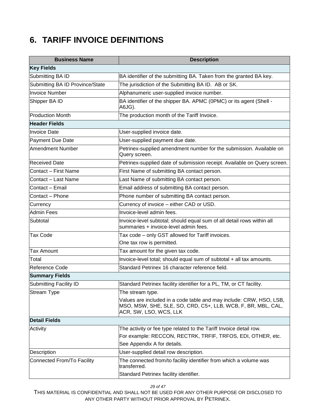### <span id="page-28-0"></span>**6. TARIFF INVOICE DEFINITIONS**

| <b>Business Name</b>            | <b>Description</b>                                                                                                                                               |
|---------------------------------|------------------------------------------------------------------------------------------------------------------------------------------------------------------|
| <b>Key Fields</b>               |                                                                                                                                                                  |
| Submitting BA ID                | BA identifier of the submitting BA. Taken from the granted BA key.                                                                                               |
| Submitting BA ID Province/State | The jurisdiction of the Submitting BA ID. AB or SK.                                                                                                              |
| <b>Invoice Number</b>           | Alphanumeric user-supplied invoice number.                                                                                                                       |
| Shipper BA ID                   | BA identifier of the shipper BA. APMC (0PMC) or its agent (Shell -<br>A6JG).                                                                                     |
| <b>Production Month</b>         | The production month of the Tariff Invoice.                                                                                                                      |
| <b>Header Fields</b>            |                                                                                                                                                                  |
| <b>Invoice Date</b>             | User-supplied invoice date.                                                                                                                                      |
| Payment Due Date                | User-supplied payment due date.                                                                                                                                  |
| Amendment Number                | Petrinex-supplied amendment number for the submission. Available on<br>Query screen.                                                                             |
| <b>Received Date</b>            | Petrinex-supplied date of submission receipt. Available on Query screen.                                                                                         |
| Contact - First Name            | First Name of submitting BA contact person.                                                                                                                      |
| lContact – Last Name            | Last Name of submitting BA contact person.                                                                                                                       |
| Contact - Email                 | Email address of submitting BA contact person.                                                                                                                   |
| Contact - Phone                 | Phone number of submitting BA contact person.                                                                                                                    |
| Currency                        | Currency of invoice - either CAD or USD.                                                                                                                         |
| Admin Fees                      | Invoice-level admin fees.                                                                                                                                        |
| Subtotal                        | Invoice-level subtotal; should equal sum of all detail rows within all<br>summaries + invoice-level admin fees.                                                  |
| <b>Tax Code</b>                 | Tax code - only GST allowed for Tariff invoices.                                                                                                                 |
|                                 | One tax row is permitted.                                                                                                                                        |
| <b>Tax Amount</b>               | Tax amount for the given tax code.                                                                                                                               |
| Total                           | Invoice-level total; should equal sum of subtotal + all tax amounts.                                                                                             |
| Reference Code                  | Standard Petrinex 16 character reference field.                                                                                                                  |
| <b>Summary Fields</b>           |                                                                                                                                                                  |
| Submitting Facility ID          | Standard Petrinex facility identifier for a PL, TM, or CT facility.                                                                                              |
| Stream Type                     | The stream type.                                                                                                                                                 |
|                                 | Values are included in a code table and may include: CRW, HSO, LSB,<br>MSO, MSW, SHE, SLE, SO, CRD, C5+, LLB, WCB, F, BR, MBL, CAL,<br>ACR, SW, LSO, WCS, LLK    |
| <b>Detail Fields</b>            |                                                                                                                                                                  |
| Activity                        | The activity or fee type related to the Tariff Invoice detail row.<br>For example: RECCON, RECTRK, TRFIF, TRFOS, EDI, OTHER, etc.<br>See Appendix A for details. |
| Description                     | User-supplied detail row description.                                                                                                                            |
| Connected From/To Facility      | The connected from/to facility identifier from which a volume was<br>transferred.<br>Standard Petrinex facility identifier.                                      |

*29 of 47*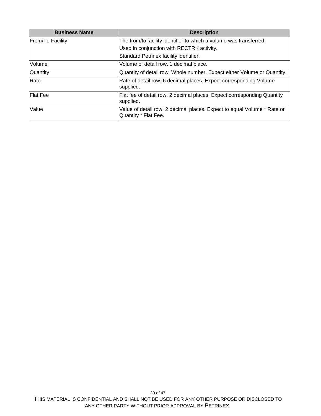| <b>Business Name</b> | <b>Description</b>                                                                              |
|----------------------|-------------------------------------------------------------------------------------------------|
| From/To Facility     | The from/to facility identifier to which a volume was transferred.                              |
|                      | Used in conjunction with RECTRK activity.                                                       |
|                      | Standard Petrinex facility identifier.                                                          |
| Volume               | Volume of detail row. 1 decimal place.                                                          |
| Quantity             | Quantity of detail row. Whole number. Expect either Volume or Quantity.                         |
| Rate                 | Rate of detail row. 6 decimal places. Expect corresponding Volume<br>supplied.                  |
| <b>Flat Fee</b>      | Flat fee of detail row. 2 decimal places. Expect corresponding Quantity<br>supplied.            |
| Value                | Value of detail row. 2 decimal places. Expect to equal Volume * Rate or<br>Quantity * Flat Fee. |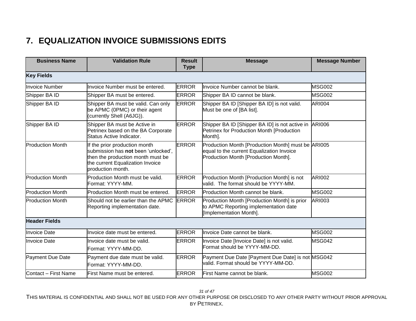### **7. EQUALIZATION INVOICE SUBMISSIONS EDITS**

<span id="page-30-0"></span>

| <b>Business Name</b>    | <b>Validation Rule</b>                                                                                                                                             | <b>Result</b><br><b>Type</b> | <b>Message</b>                                                                                                                          | <b>Message Number</b> |
|-------------------------|--------------------------------------------------------------------------------------------------------------------------------------------------------------------|------------------------------|-----------------------------------------------------------------------------------------------------------------------------------------|-----------------------|
| <b>Key Fields</b>       |                                                                                                                                                                    |                              |                                                                                                                                         |                       |
| <b>Invoice Number</b>   | Invoice Number must be entered.                                                                                                                                    | <b>ERROR</b>                 | Invoice Number cannot be blank.                                                                                                         | <b>MSG002</b>         |
| Shipper BA ID           | Shipper BA must be entered.                                                                                                                                        | <b>ERROR</b>                 | Shipper BA ID cannot be blank.                                                                                                          | <b>MSG002</b>         |
| Shipper BA ID           | Shipper BA must be valid. Can only<br>be APMC (0PMC) or their agent<br>(currently Shell (A6JG)).                                                                   | <b>ERROR</b>                 | Shipper BA ID [Shipper BA ID] is not valid.<br>Must be one of [BA list].                                                                | <b>ARI004</b>         |
| Shipper BA ID           | Shipper BA must be Active in<br>Petrinex based on the BA Corporate<br>Status Active Indicator.                                                                     | <b>ERROR</b>                 | Shipper BA ID [Shipper BA ID] is not active in<br>Petrinex for Production Month [Production<br>Month].                                  | <b>ARI006</b>         |
| <b>Production Month</b> | If the prior production month<br>submission has not been 'unlocked',<br>then the production month must be<br>the current Equalization Invoice<br>production month. | <b>ERROR</b>                 | Production Month [Production Month] must be ARI005<br>equal to the current Equalization Invoice<br>Production Month [Production Month]. |                       |
| <b>Production Month</b> | Production Month must be valid.<br>Format: YYYY-MM.                                                                                                                | <b>ERROR</b>                 | Production Month [Production Month] is not<br>valid. The format should be YYYY-MM.                                                      | <b>ARI002</b>         |
| <b>Production Month</b> | Production Month must be entered.                                                                                                                                  | <b>ERROR</b>                 | Production Month cannot be blank.                                                                                                       | <b>MSG002</b>         |
| <b>Production Month</b> | Should not be earlier than the APMC<br>Reporting implementation date.                                                                                              | <b>ERROR</b>                 | Production Month [Production Month] is prior<br>to APMC Reporting implementation date<br>[Implementation Month].                        | ARI003                |
| <b>Header Fields</b>    |                                                                                                                                                                    |                              |                                                                                                                                         |                       |
| Invoice Date            | Invoice date must be entered.                                                                                                                                      | <b>ERROR</b>                 | Invoice Date cannot be blank.                                                                                                           | <b>MSG002</b>         |
| <b>Invoice Date</b>     | Invoice date must be valid.<br>Format: YYYY-MM-DD.                                                                                                                 | <b>ERROR</b>                 | Invoice Date [Invoice Date] is not valid.<br>Format should be YYYY-MM-DD.                                                               | <b>MSG042</b>         |
| Payment Due Date        | Payment due date must be valid.<br>Format: YYYY-MM-DD.                                                                                                             | <b>ERROR</b>                 | Payment Due Date [Payment Due Date] is not MSG042<br>valid. Format should be YYYY-MM-DD.                                                |                       |
| Contact - First Name    | First Name must be entered.                                                                                                                                        | <b>ERROR</b>                 | First Name cannot be blank.                                                                                                             | <b>MSG002</b>         |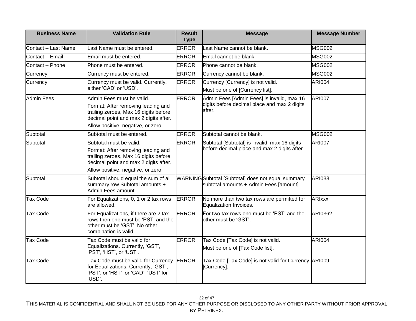| <b>Business Name</b> | <b>Validation Rule</b>                                                                                                                 | <b>Result</b><br><b>Type</b> | <b>Message</b>                                                                                | <b>Message Number</b> |
|----------------------|----------------------------------------------------------------------------------------------------------------------------------------|------------------------------|-----------------------------------------------------------------------------------------------|-----------------------|
| Contact - Last Name  | Last Name must be entered.                                                                                                             | <b>ERROR</b>                 | Last Name cannot be blank.                                                                    | <b>MSG002</b>         |
| Contact - Email      | Email must be entered.                                                                                                                 | <b>ERROR</b>                 | Email cannot be blank.                                                                        | <b>MSG002</b>         |
| Contact - Phone      | Phone must be entered.                                                                                                                 | <b>ERROR</b>                 | Phone cannot be blank.                                                                        | <b>MSG002</b>         |
| Currency             | Currency must be entered.                                                                                                              | <b>ERROR</b>                 | Currency cannot be blank.                                                                     | <b>MSG002</b>         |
| Currency             | Currency must be valid. Currently,<br>either 'CAD' or 'USD'.                                                                           | <b>ERROR</b>                 | Currency [Currency] is not valid.<br>Must be one of [Currency list].                          | <b>ARI004</b>         |
| <b>Admin Fees</b>    | Admin Fees must be valid.                                                                                                              | <b>ERROR</b>                 | Admin Fees [Admin Fees] is invalid, max 16                                                    | <b>ARI007</b>         |
|                      | Format: After removing leading and<br>trailing zeroes, Max 16 digits before<br>decimal point and max 2 digits after.                   |                              | digits before decimal place and max 2 digits<br>after.                                        |                       |
|                      | Allow positive, negative, or zero.                                                                                                     |                              |                                                                                               |                       |
| Subtotal             | Subtotal must be entered.                                                                                                              | <b>ERROR</b>                 | Subtotal cannot be blank.                                                                     | <b>MSG002</b>         |
| Subtotal             | Subtotal must be valid.                                                                                                                | <b>ERROR</b>                 | Subtotal [Subtotal] is invalid, max 16 digits<br>before decimal place and max 2 digits after. | <b>ARI007</b>         |
|                      | Format: After removing leading and<br>trailing zeroes, Max 16 digits before<br>decimal point and max 2 digits after.                   |                              |                                                                                               |                       |
|                      | Allow positive, negative, or zero.                                                                                                     |                              |                                                                                               |                       |
| Subtotal             | Subtotal should equal the sum of all<br>summary row Subtotal amounts +<br>Admin Fees amount                                            |                              | WARNINGSubtotal [Subtotal] does not equal summary<br>subtotal amounts + Admin Fees [amount].  | <b>ARI038</b>         |
| <b>Tax Code</b>      | For Equalizations, 0, 1 or 2 tax rows<br>are allowed.                                                                                  | <b>ERROR</b>                 | No more than two tax rows are permitted for<br>Equalization Invoices.                         | <b>ARIxxx</b>         |
| <b>Tax Code</b>      | For Equalizations, if there are 2 tax<br>rows then one must be 'PST' and the<br>other must be 'GST'. No other<br>combination is valid. | <b>ERROR</b>                 | For two tax rows one must be 'PST' and the<br>other must be 'GST'.                            | ARI036?               |
| <b>Tax Code</b>      | Tax Code must be valid for<br>Equalizations. Currently, 'GST',<br>'PST', 'HST', or 'UST'.                                              | <b>ERROR</b>                 | Tax Code [Tax Code] is not valid.<br>Must be one of [Tax Code list].                          | <b>ARI004</b>         |
| <b>Tax Code</b>      | Tax Code must be valid for Currency<br>for Equalizations. Currently, 'GST',<br>'PST', or 'HST' for 'CAD'. 'UST' for<br>'USD'.          | <b>ERROR</b>                 | Tax Code [Tax Code] is not valid for Currency ARI009<br>[Currency].                           |                       |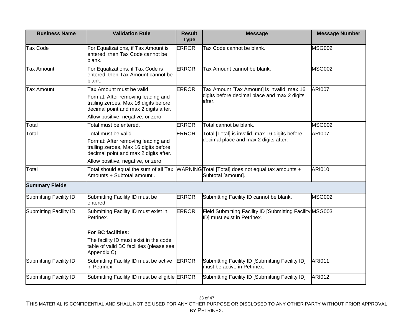| <b>Business Name</b>   | <b>Validation Rule</b>                                                                                                                                                                  | <b>Result</b><br><b>Type</b> | <b>Message</b>                                                                                                | <b>Message Number</b> |
|------------------------|-----------------------------------------------------------------------------------------------------------------------------------------------------------------------------------------|------------------------------|---------------------------------------------------------------------------------------------------------------|-----------------------|
| <b>Tax Code</b>        | For Equalizations, if Tax Amount is<br>entered, then Tax Code cannot be<br>blank.                                                                                                       | <b>ERROR</b>                 | Tax Code cannot be blank.                                                                                     | <b>MSG002</b>         |
| <b>Tax Amount</b>      | For Equalizations, if Tax Code is<br>entered, then Tax Amount cannot be<br>blank.                                                                                                       | <b>ERROR</b>                 | Tax Amount cannot be blank.                                                                                   | <b>MSG002</b>         |
| <b>Tax Amount</b>      | Tax Amount must be valid.<br>Format: After removing leading and<br>trailing zeroes, Max 16 digits before<br>decimal point and max 2 digits after.<br>Allow positive, negative, or zero. | <b>ERROR</b>                 | Tax Amount [Tax Amount] is invalid, max 16<br>digits before decimal place and max 2 digits<br>after.          | <b>ARI007</b>         |
| Total                  | Total must be entered.                                                                                                                                                                  | <b>ERROR</b>                 | Total cannot be blank.                                                                                        | <b>MSG002</b>         |
| Total                  | Total must be valid.                                                                                                                                                                    | <b>ERROR</b>                 | Total [Total] is invalid, max 16 digits before                                                                | <b>ARI007</b>         |
|                        | Format: After removing leading and<br>trailing zeroes, Max 16 digits before<br>decimal point and max 2 digits after.<br>Allow positive, negative, or zero.                              |                              | decimal place and max 2 digits after.                                                                         |                       |
| Total                  | Amounts + Subtotal amount                                                                                                                                                               |                              | Total should equal the sum of all Tax WARNINGTotal [Total] does not equal tax amounts +<br>Subtotal [amount]. | <b>ARI010</b>         |
| <b>Summary Fields</b>  |                                                                                                                                                                                         |                              |                                                                                                               |                       |
| Submitting Facility ID | Submitting Facility ID must be<br>entered.                                                                                                                                              | <b>ERROR</b>                 | Submitting Facility ID cannot be blank.                                                                       | <b>MSG002</b>         |
| Submitting Facility ID | Submitting Facility ID must exist in<br>Petrinex.                                                                                                                                       | <b>ERROR</b>                 | Field Submitting Facility ID [Submitting Facility MSG003<br>ID] must exist in Petrinex.                       |                       |
|                        | <b>For BC facilities:</b>                                                                                                                                                               |                              |                                                                                                               |                       |
|                        | The facility ID must exist in the code<br>table of valid BC facilities (please see<br>Appendix C).                                                                                      |                              |                                                                                                               |                       |
| Submitting Facility ID | Submitting Facility ID must be active<br>in Petrinex.                                                                                                                                   | <b>ERROR</b>                 | Submitting Facility ID [Submitting Facility ID]<br>must be active in Petrinex.                                | <b>ARI011</b>         |
| Submitting Facility ID | Submitting Facility ID must be eligible ERROR                                                                                                                                           |                              | Submitting Facility ID [Submitting Facility ID]                                                               | <b>ARI012</b>         |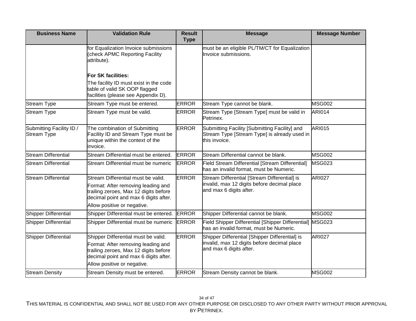| <b>Business Name</b>                           | <b>Validation Rule</b>                                                                                                                                                                     | <b>Result</b><br><b>Type</b> | <b>Message</b>                                                                                                           | <b>Message Number</b> |
|------------------------------------------------|--------------------------------------------------------------------------------------------------------------------------------------------------------------------------------------------|------------------------------|--------------------------------------------------------------------------------------------------------------------------|-----------------------|
|                                                | for Equalization Invoice submissions<br>(check APMC Reporting Facility<br>attribute).                                                                                                      |                              | must be an eligible PL/TM/CT for Equalization<br>Invoice submissions.                                                    |                       |
|                                                | <b>For SK facilities:</b>                                                                                                                                                                  |                              |                                                                                                                          |                       |
|                                                | The facility ID must exist in the code<br>table of valid SK OOP flagged<br>facilities (please see Appendix D).                                                                             |                              |                                                                                                                          |                       |
| <b>Stream Type</b>                             | Stream Type must be entered.                                                                                                                                                               | <b>ERROR</b>                 | Stream Type cannot be blank.                                                                                             | <b>MSG002</b>         |
| <b>Stream Type</b>                             | Stream Type must be valid.                                                                                                                                                                 | <b>ERROR</b>                 | Stream Type [Stream Type] must be valid in<br>Petrinex.                                                                  | <b>ARI014</b>         |
| Submitting Facility ID /<br><b>Stream Type</b> | The combination of Submitting<br>Facility ID and Stream Type must be<br>unique within the context of the<br>invoice.                                                                       | <b>ERROR</b>                 | Submitting Facility [Submitting Facility] and<br>Stream Type [Stream Type] is already used in<br>this invoice.           | <b>ARI015</b>         |
| <b>Stream Differential</b>                     | Stream Differential must be entered.                                                                                                                                                       | <b>ERROR</b>                 | Stream Differential cannot be blank.                                                                                     | <b>MSG002</b>         |
| <b>Stream Differential</b>                     | Stream Differential must be numeric                                                                                                                                                        | <b>ERROR</b>                 | <b>Field Stream Differential [Stream Differential]</b><br>has an invalid format, must be Numeric.                        | <b>MSG023</b>         |
| <b>Stream Differential</b>                     | Stream Differential must be valid.<br>Format: After removing leading and<br>trailing zeroes, Max 12 digits before<br>decimal point and max 6 digits after.<br>Allow positive or negative.  | <b>ERROR</b>                 | Stream Differential [Stream Differential] is<br>invalid, max 12 digits before decimal place<br>and max 6 digits after.   | <b>ARI027</b>         |
| <b>Shipper Differential</b>                    | Shipper Differential must be entered.                                                                                                                                                      | <b>ERROR</b>                 | Shipper Differential cannot be blank.                                                                                    | MSG002                |
| <b>Shipper Differential</b>                    | Shipper Differential must be numeric                                                                                                                                                       | <b>ERROR</b>                 | Field Shipper Differential [Shipper Differential]<br>has an invalid format, must be Numeric.                             | <b>MSG023</b>         |
| Shipper Differential                           | Shipper Differential must be valid.<br>Format: After removing leading and<br>trailing zeroes, Max 12 digits before<br>decimal point and max 6 digits after.<br>Allow positive or negative. | <b>ERROR</b>                 | Shipper Differential [Shipper Differential] is<br>invalid, max 12 digits before decimal place<br>and max 6 digits after. | <b>ARI027</b>         |
| <b>Stream Density</b>                          | Stream Density must be entered.                                                                                                                                                            | <b>ERROR</b>                 | Stream Density cannot be blank.                                                                                          | <b>MSG002</b>         |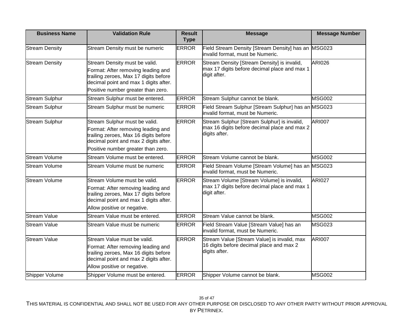| <b>Business Name</b>  | <b>Validation Rule</b>                                                                                                                                                                      | <b>Result</b><br><b>Type</b> | <b>Message</b>                                                                                               | <b>Message Number</b> |
|-----------------------|---------------------------------------------------------------------------------------------------------------------------------------------------------------------------------------------|------------------------------|--------------------------------------------------------------------------------------------------------------|-----------------------|
| <b>Stream Density</b> | Stream Density must be numeric                                                                                                                                                              | <b>ERROR</b>                 | Field Stream Density [Stream Density] has an MSG023<br>invalid format, must be Numeric.                      |                       |
| <b>Stream Density</b> | Stream Density must be valid.<br>Format: After removing leading and<br>trailing zeroes, Max 17 digits before<br>decimal point and max 1 digits after.<br>Positive number greater than zero. | <b>ERROR</b>                 | Stream Density [Stream Density] is invalid,<br>max 17 digits before decimal place and max 1<br>digit after.  | <b>ARI026</b>         |
| <b>Stream Sulphur</b> | Stream Sulphur must be entered.                                                                                                                                                             | <b>ERROR</b>                 | Stream Sulphur cannot be blank.                                                                              | <b>MSG002</b>         |
| <b>Stream Sulphur</b> | Stream Sulphur must be numeric                                                                                                                                                              | <b>ERROR</b>                 | Field Stream Sulphur [Stream Sulphur] has an MSG023<br>invalid format, must be Numeric.                      |                       |
| <b>Stream Sulphur</b> | Stream Sulphur must be valid.<br>Format: After removing leading and<br>trailing zeroes, Max 16 digits before<br>decimal point and max 2 digits after.<br>Positive number greater than zero. | <b>ERROR</b>                 | Stream Sulphur [Stream Sulphur] is invalid,<br>max 16 digits before decimal place and max 2<br>digits after. | <b>ARI007</b>         |
| <b>Stream Volume</b>  | Stream Volume must be entered.                                                                                                                                                              | <b>ERROR</b>                 | Stream Volume cannot be blank.                                                                               | <b>MSG002</b>         |
| <b>Stream Volume</b>  | Stream Volume must be numeric                                                                                                                                                               | <b>ERROR</b>                 | Field Stream Volume [Stream Volume] has an MSG023<br>invalid format, must be Numeric.                        |                       |
| <b>Stream Volume</b>  | Stream Volume must be valid.<br>Format: After removing leading and<br>trailing zeroes, Max 17 digits before<br>decimal point and max 1 digits after.<br>Allow positive or negative.         | <b>ERROR</b>                 | Stream Volume [Stream Volume] is invalid,<br>max 17 digits before decimal place and max 1<br>digit after.    | <b>ARI027</b>         |
| Stream Value          | Stream Value must be entered.                                                                                                                                                               | <b>ERROR</b>                 | Stream Value cannot be blank.                                                                                | <b>MSG002</b>         |
| <b>Stream Value</b>   | Stream Value must be numeric                                                                                                                                                                | <b>ERROR</b>                 | Field Stream Value [Stream Value] has an<br>invalid format, must be Numeric.                                 | <b>MSG023</b>         |
| <b>Stream Value</b>   | Stream Value must be valid.<br>Format: After removing leading and<br>trailing zeroes, Max 16 digits before<br>decimal point and max 2 digits after.<br>Allow positive or negative.          | <b>ERROR</b>                 | Stream Value [Stream Value] is invalid, max<br>16 digits before decimal place and max 2<br>digits after.     | <b>ARI007</b>         |
| Shipper Volume        | Shipper Volume must be entered.                                                                                                                                                             | <b>ERROR</b>                 | Shipper Volume cannot be blank.                                                                              | <b>MSG002</b>         |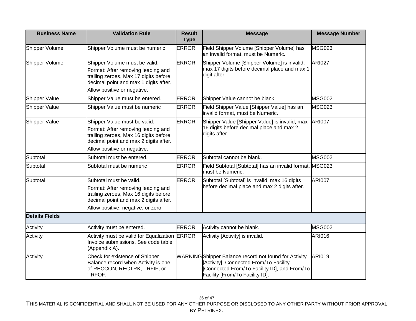| <b>Business Name</b>  | <b>Validation Rule</b>                                                                                                                                                                | <b>Result</b><br><b>Type</b> | <b>Message</b>                                                                                                                                                                            | <b>Message Number</b> |
|-----------------------|---------------------------------------------------------------------------------------------------------------------------------------------------------------------------------------|------------------------------|-------------------------------------------------------------------------------------------------------------------------------------------------------------------------------------------|-----------------------|
| Shipper Volume        | Shipper Volume must be numeric                                                                                                                                                        | <b>ERROR</b>                 | Field Shipper Volume [Shipper Volume] has<br>an invalid format, must be Numeric.                                                                                                          | <b>MSG023</b>         |
| Shipper Volume        | Shipper Volume must be valid.<br>Format: After removing leading and<br>trailing zeroes, Max 17 digits before<br>decimal point and max 1 digits after.<br>Allow positive or negative.  | <b>ERROR</b>                 | Shipper Volume [Shipper Volume] is invalid,<br>max 17 digits before decimal place and max 1<br>digit after.                                                                               | <b>ARI027</b>         |
| Shipper Value         | Shipper Value must be entered.                                                                                                                                                        | <b>ERROR</b>                 | Shipper Value cannot be blank.                                                                                                                                                            | <b>MSG002</b>         |
| Shipper Value         | Shipper Value must be numeric                                                                                                                                                         | <b>ERROR</b>                 | Field Shipper Value [Shipper Value] has an<br>invalid format, must be Numeric.                                                                                                            | <b>MSG023</b>         |
| Shipper Value         | Shipper Value must be valid.<br>Format: After removing leading and<br>trailing zeroes, Max 16 digits before<br>decimal point and max 2 digits after.<br>Allow positive or negative.   | <b>ERROR</b>                 | Shipper Value [Shipper Value] is invalid, max<br>16 digits before decimal place and max 2<br>digits after.                                                                                | <b>ARI007</b>         |
| Subtotal              | Subtotal must be entered.                                                                                                                                                             | <b>ERROR</b>                 | Subtotal cannot be blank.                                                                                                                                                                 | <b>MSG002</b>         |
| Subtotal              | Subtotal must be numeric                                                                                                                                                              | <b>ERROR</b>                 | Field Subtotal [Subtotal] has an invalid format, MSG023<br>must be Numeric.                                                                                                               |                       |
| Subtotal              | Subtotal must be valid.<br>Format: After removing leading and<br>trailing zeroes, Max 16 digits before<br>decimal point and max 2 digits after.<br>Allow positive, negative, or zero. | <b>ERROR</b>                 | Subtotal [Subtotal] is invalid, max 16 digits<br>before decimal place and max 2 digits after.                                                                                             | <b>ARI007</b>         |
| <b>Details Fields</b> |                                                                                                                                                                                       |                              |                                                                                                                                                                                           |                       |
| Activity              | Activity must be entered.                                                                                                                                                             | <b>ERROR</b>                 | Activity cannot be blank.                                                                                                                                                                 | <b>MSG002</b>         |
| Activity              | Activity must be valid for Equalization ERROR<br>Invoice submissions. See code table<br>(Appendix A).                                                                                 |                              | Activity [Activity] is invalid.                                                                                                                                                           | <b>ARI016</b>         |
| Activity              | Check for existence of Shipper<br>Balance record when Activity is one<br>of RECCON, RECTRK, TRFIF, or<br>TRFOF.                                                                       |                              | <b>WARNING</b> Shipper Balance record not found for Activity<br>[Activity], Connected From/To Facility<br>[Connected From/To Facility ID], and From/To<br>Facility [From/To Facility ID]. | <b>ARI019</b>         |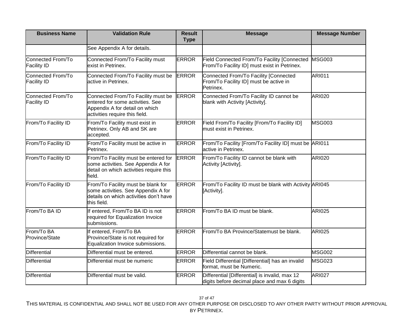| <b>Business Name</b>                    | <b>Validation Rule</b>                                                                                                                     | <b>Result</b><br><b>Type</b> | <b>Message</b>                                                                                 | <b>Message Number</b> |
|-----------------------------------------|--------------------------------------------------------------------------------------------------------------------------------------------|------------------------------|------------------------------------------------------------------------------------------------|-----------------------|
|                                         | See Appendix A for details.                                                                                                                |                              |                                                                                                |                       |
| Connected From/To<br><b>Facility ID</b> | Connected From/To Facility must<br>exist in Petrinex.                                                                                      | <b>ERROR</b>                 | Field Connected From/To Facility [Connected<br>From/To Facility ID] must exist in Petrinex.    | <b>MSG003</b>         |
| Connected From/To<br><b>Facility ID</b> | Connected From/To Facility must be<br>active in Petrinex.                                                                                  | <b>ERROR</b>                 | Connected From/To Facility [Connected<br>From/To Facility ID] must be active in<br>Petrinex.   | <b>ARI011</b>         |
| Connected From/To<br><b>Facility ID</b> | Connected From/To Facility must be<br>entered for some activities. See<br>Appendix A for detail on which<br>activities require this field. | <b>ERROR</b>                 | Connected From/To Facility ID cannot be<br>blank with Activity [Activity].                     | <b>ARI020</b>         |
| From/To Facility ID                     | From/To Facility must exist in<br>Petrinex. Only AB and SK are<br>accepted.                                                                | <b>ERROR</b>                 | Field From/To Facility [From/To Facility ID]<br>must exist in Petrinex.                        | MSG003                |
| From/To Facility ID                     | From/To Facility must be active in<br>Petrinex.                                                                                            | <b>ERROR</b>                 | From/To Facility [From/To Facility ID] must be ARI011<br>active in Petrinex.                   |                       |
| From/To Facility ID                     | From/To Facility must be entered for<br>some activities. See Appendix A for<br>detail on which activities require this<br>field.           | <b>ERROR</b>                 | From/To Facility ID cannot be blank with<br>Activity [Activity].                               | <b>ARI020</b>         |
| From/To Facility ID                     | From/To Facility must be blank for<br>some activities. See Appendix A for<br>details on which activities don't have<br>this field.         | <b>ERROR</b>                 | From/To Facility ID must be blank with Activity ARI045<br>[Activity].                          |                       |
| From/To BA ID                           | If entered, From/To BA ID is not<br>required for Equalization Invoice<br>submissions.                                                      | <b>ERROR</b>                 | From/To BA ID must be blank.                                                                   | <b>ARI025</b>         |
| From/To BA<br>Province/State            | If entered, From/To BA<br>Province/State is not required for<br>Equalization Invoice submissions.                                          | <b>ERROR</b>                 | From/To BA Province/Statemust be blank.                                                        | <b>ARI025</b>         |
| <b>Differential</b>                     | Differential must be entered.                                                                                                              | <b>ERROR</b>                 | Differential cannot be blank.                                                                  | <b>MSG002</b>         |
| <b>Differential</b>                     | Differential must be numeric                                                                                                               | <b>ERROR</b>                 | Field Differential [Differential] has an invalid<br>format, must be Numeric.                   | <b>MSG023</b>         |
| Differential                            | Differential must be valid.                                                                                                                | <b>ERROR</b>                 | Differential [Differential] is invalid, max 12<br>digits before decimal place and max 6 digits | <b>ARI027</b>         |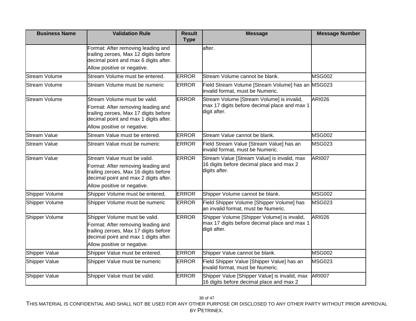| <b>Business Name</b> | <b>Validation Rule</b>                                                                                                                                                               | <b>Result</b><br><b>Type</b> | <b>Message</b>                                                                                              | <b>Message Number</b> |
|----------------------|--------------------------------------------------------------------------------------------------------------------------------------------------------------------------------------|------------------------------|-------------------------------------------------------------------------------------------------------------|-----------------------|
|                      | Format: After removing leading and<br>trailing zeroes, Max 12 digits before<br>decimal point and max 6 digits after.                                                                 |                              | after.                                                                                                      |                       |
|                      | Allow positive or negative.                                                                                                                                                          |                              |                                                                                                             |                       |
| <b>Stream Volume</b> | Stream Volume must be entered.                                                                                                                                                       | <b>ERROR</b>                 | Stream Volume cannot be blank.                                                                              | <b>MSG002</b>         |
| <b>Stream Volume</b> | Stream Volume must be numeric                                                                                                                                                        | <b>ERROR</b>                 | Field Stream Volume [Stream Volume] has an<br>invalid format, must be Numeric.                              | <b>MSG023</b>         |
| <b>Stream Volume</b> | Stream Volume must be valid.<br>Format: After removing leading and<br>trailing zeroes, Max 17 digits before<br>decimal point and max 1 digits after.<br>Allow positive or negative.  | <b>ERROR</b>                 | Stream Volume [Stream Volume] is invalid,<br>max 17 digits before decimal place and max 1<br>digit after.   | <b>ARI026</b>         |
| <b>Stream Value</b>  | Stream Value must be entered.                                                                                                                                                        | <b>ERROR</b>                 | Stream Value cannot be blank.                                                                               | <b>MSG002</b>         |
| <b>Stream Value</b>  | Stream Value must be numeric                                                                                                                                                         | <b>ERROR</b>                 | Field Stream Value [Stream Value] has an<br>invalid format, must be Numeric.                                | <b>MSG023</b>         |
| <b>Stream Value</b>  | Stream Value must be valid.<br>Format: After removing leading and<br>trailing zeroes, Max 16 digits before<br>decimal point and max 2 digits after.<br>Allow positive or negative.   | <b>ERROR</b>                 | Stream Value [Stream Value] is invalid, max<br>16 digits before decimal place and max 2<br>digits after.    | <b>ARI007</b>         |
| Shipper Volume       | Shipper Volume must be entered.                                                                                                                                                      | <b>ERROR</b>                 | Shipper Volume cannot be blank.                                                                             | <b>MSG002</b>         |
| Shipper Volume       | Shipper Volume must be numeric                                                                                                                                                       | <b>ERROR</b>                 | Field Shipper Volume [Shipper Volume] has<br>an invalid format, must be Numeric.                            | <b>MSG023</b>         |
| Shipper Volume       | Shipper Volume must be valid.<br>Format: After removing leading and<br>trailing zeroes, Max 17 digits before<br>decimal point and max 1 digits after.<br>Allow positive or negative. | <b>ERROR</b>                 | Shipper Volume [Shipper Volume] is invalid,<br>max 17 digits before decimal place and max 1<br>digit after. | <b>ARI026</b>         |
| Shipper Value        | Shipper Value must be entered.                                                                                                                                                       | <b>ERROR</b>                 | Shipper Value cannot be blank.                                                                              | <b>MSG002</b>         |
| Shipper Value        | Shipper Value must be numeric                                                                                                                                                        | <b>ERROR</b>                 | Field Shipper Value [Shipper Value] has an<br>invalid format, must be Numeric.                              | <b>MSG023</b>         |
| Shipper Value        | Shipper Value must be valid.                                                                                                                                                         | <b>ERROR</b>                 | Shipper Value [Shipper Value] is invalid, max<br>16 digits before decimal place and max 2                   | <b>ARI007</b>         |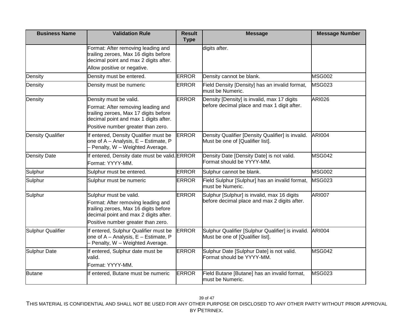| <b>Business Name</b>     | <b>Validation Rule</b>                                                                                                                                                               | <b>Result</b><br><b>Type</b> | <b>Message</b>                                                                              | <b>Message Number</b> |
|--------------------------|--------------------------------------------------------------------------------------------------------------------------------------------------------------------------------------|------------------------------|---------------------------------------------------------------------------------------------|-----------------------|
|                          | Format: After removing leading and<br>trailing zeroes, Max 16 digits before<br>decimal point and max 2 digits after.                                                                 |                              | digits after.                                                                               |                       |
|                          | Allow positive or negative.                                                                                                                                                          |                              |                                                                                             |                       |
| Density                  | Density must be entered.                                                                                                                                                             | <b>ERROR</b>                 | Density cannot be blank.                                                                    | <b>MSG002</b>         |
| Density                  | Density must be numeric                                                                                                                                                              | <b>ERROR</b>                 | Field Density [Density] has an invalid format,<br>must be Numeric.                          | <b>MSG023</b>         |
| Density                  | Density must be valid.<br>Format: After removing leading and<br>trailing zeroes, Max 17 digits before<br>decimal point and max 1 digits after.<br>Positive number greater than zero. | <b>ERROR</b>                 | Density [Density] is invalid, max 17 digits<br>before decimal place and max 1 digit after.  | <b>ARI026</b>         |
| <b>Density Qualifier</b> | If entered, Density Qualifier must be<br>one of A - Analysis, E - Estimate, P<br>- Penalty, W - Weighted Average.                                                                    | <b>ERROR</b>                 | Density Qualifier [Density Qualifier] is invalid.<br>Must be one of [Qualifier list].       | <b>ARI004</b>         |
| Density Date             | If entered, Density date must be valid. ERROR<br>Format: YYYY-MM.                                                                                                                    |                              | Density Date [Density Date] is not valid.<br>Format should be YYYY-MM.                      | MSG042                |
| Sulphur                  | Sulphur must be entered.                                                                                                                                                             | <b>ERROR</b>                 | Sulphur cannot be blank.                                                                    | <b>MSG002</b>         |
| Sulphur                  | Sulphur must be numeric                                                                                                                                                              | <b>ERROR</b>                 | Field Sulphur [Sulphur] has an invalid format,<br>must be Numeric.                          | <b>MSG023</b>         |
| Sulphur                  | Sulphur must be valid.<br>Format: After removing leading and<br>trailing zeroes, Max 16 digits before<br>decimal point and max 2 digits after.<br>Positive number greater than zero. | <b>ERROR</b>                 | Sulphur [Sulphur] is invalid, max 16 digits<br>before decimal place and max 2 digits after. | <b>ARI007</b>         |
| <b>Sulphur Qualifier</b> | If entered, Sulphur Qualifier must be<br>one of A - Analysis, E - Estimate, P<br>- Penalty, W - Weighted Average.                                                                    | <b>ERROR</b>                 | Sulphur Qualifier [Sulphur Qualifier] is invalid.<br>Must be one of [Qualifier list].       | <b>ARI004</b>         |
| Sulphur Date             | If entered, Sulphur date must be<br>valid.<br>Format: YYYY-MM.                                                                                                                       | <b>ERROR</b>                 | Sulphur Date [Sulphur Date] is not valid.<br>Format should be YYYY-MM.                      | <b>MSG042</b>         |
| <b>Butane</b>            | If entered, Butane must be numeric                                                                                                                                                   | <b>ERROR</b>                 | Field Butane [Butane] has an invalid format,<br>must be Numeric.                            | MSG023                |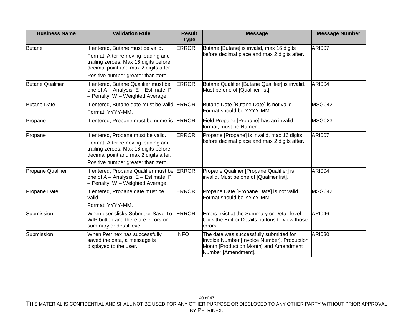| <b>Business Name</b>     | <b>Validation Rule</b>                                                                                                                                                                           | <b>Result</b><br><b>Type</b> | <b>Message</b>                                                                                                                                          | <b>Message Number</b> |
|--------------------------|--------------------------------------------------------------------------------------------------------------------------------------------------------------------------------------------------|------------------------------|---------------------------------------------------------------------------------------------------------------------------------------------------------|-----------------------|
| <b>Butane</b>            | If entered, Butane must be valid.<br>Format: After removing leading and<br>trailing zeroes, Max 16 digits before<br>decimal point and max 2 digits after.<br>Positive number greater than zero.  | <b>ERROR</b>                 | Butane [Butane] is invalid, max 16 digits<br>before decimal place and max 2 digits after.                                                               | <b>ARI007</b>         |
| <b>Butane Qualifier</b>  | If entered, Butane Qualifier must be<br>one of A - Analysis, E - Estimate, P<br>- Penalty, W - Weighted Average.                                                                                 | <b>ERROR</b>                 | Butane Qualifier [Butane Qualifier] is invalid.<br>Must be one of [Qualifier list].                                                                     | <b>ARI004</b>         |
| <b>Butane Date</b>       | If entered, Butane date must be valid. ERROR<br>Format: YYYY-MM.                                                                                                                                 |                              | Butane Date [Butane Date] is not valid.<br>Format should be YYYY-MM.                                                                                    | MSG042                |
| Propane                  | If entered, Propane must be numeric                                                                                                                                                              | <b>ERROR</b>                 | Field Propane [Propane] has an invalid<br>format, must be Numeric.                                                                                      | <b>MSG023</b>         |
| Propane                  | If entered, Propane must be valid.<br>Format: After removing leading and<br>trailing zeroes, Max 16 digits before<br>decimal point and max 2 digits after.<br>Positive number greater than zero. | <b>ERROR</b>                 | Propane [Propane] is invalid, max 16 digits<br>before decimal place and max 2 digits after.                                                             | <b>ARI007</b>         |
| <b>Propane Qualifier</b> | If entered, Propane Qualifier must be<br>one of A - Analysis, E - Estimate, P<br>Penalty, W - Weighted Average.                                                                                  | <b>ERROR</b>                 | Propane Qualifier [Propane Qualifier] is<br>invalid. Must be one of [Qualifier list].                                                                   | <b>ARI004</b>         |
| Propane Date             | If entered, Propane date must be<br>valid.<br>Format: YYYY-MM.                                                                                                                                   | <b>ERROR</b>                 | Propane Date [Propane Date] is not valid.<br>Format should be YYYY-MM.                                                                                  | MSG042                |
| Submission               | When user clicks Submit or Save To<br>WIP button and there are errors on<br>summary or detail level                                                                                              | <b>ERROR</b>                 | Errors exist at the Summary or Detail level.<br>Click the Edit or Details buttons to view those<br>lerrors.                                             | <b>ARI046</b>         |
| Submission               | When Petrinex has successfully<br>saved the data, a message is<br>displayed to the user.                                                                                                         | <b>INFO</b>                  | The data was successfully submitted for<br>Invoice Number [Invoice Number], Production<br>Month [Production Month] and Amendment<br>Number [Amendment]. | ARI030                |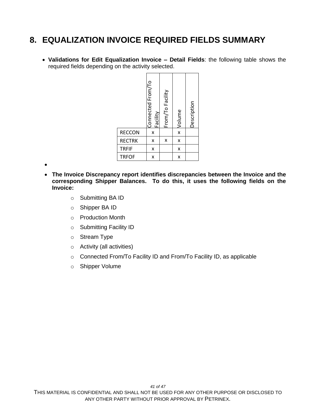#### <span id="page-40-0"></span>**8. EQUALIZATION INVOICE REQUIRED FIELDS SUMMARY**

 **Validations for Edit Equalization Invoice – Detail Fields**: the following table shows the required fields depending on the activity selected.

|               | Connected From/To<br><b>Facility</b> | From/To Facility | Volume                  | Description |
|---------------|--------------------------------------|------------------|-------------------------|-------------|
| <b>RECCON</b> | X                                    |                  | $\overline{\mathsf{x}}$ |             |
| <b>RECTRK</b> | X                                    | X                | X                       |             |
| <b>TRFIF</b>  | X                                    |                  | X                       |             |
| <b>TRFOF</b>  | X                                    |                  | X                       |             |

 $\bullet$ 

- **The Invoice Discrepancy report identifies discrepancies between the Invoice and the corresponding Shipper Balances. To do this, it uses the following fields on the Invoice:** 
	- o Submitting BA ID
	- o Shipper BA ID
	- o Production Month
	- o Submitting Facility ID
	- o Stream Type
	- o Activity (all activities)
	- o Connected From/To Facility ID and From/To Facility ID, as applicable
	- o Shipper Volume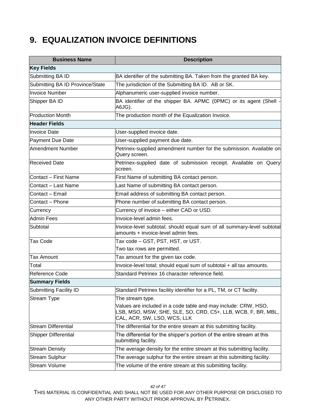### <span id="page-41-0"></span>**9. EQUALIZATION INVOICE DEFINITIONS**

| <b>Business Name</b>            | <b>Description</b>                                                                                                                                            |  |  |
|---------------------------------|---------------------------------------------------------------------------------------------------------------------------------------------------------------|--|--|
| <b>Key Fields</b>               |                                                                                                                                                               |  |  |
| Submitting BA ID                | BA identifier of the submitting BA. Taken from the granted BA key.                                                                                            |  |  |
| Submitting BA ID Province/State | The jurisdiction of the Submitting BA ID. AB or SK.                                                                                                           |  |  |
| <b>Invoice Number</b>           | Alphanumeric user-supplied invoice number.                                                                                                                    |  |  |
| Shipper BA ID                   | BA identifier of the shipper BA. APMC (0PMC) or its agent (Shell -<br>A6JG).                                                                                  |  |  |
| <b>Production Month</b>         | The production month of the Equalization Invoice.                                                                                                             |  |  |
| <b>Header Fields</b>            |                                                                                                                                                               |  |  |
| <b>Invoice Date</b>             | User-supplied invoice date.                                                                                                                                   |  |  |
| Payment Due Date                | User-supplied payment due date.                                                                                                                               |  |  |
| Amendment Number                | Petrinex-supplied amendment number for the submission. Available on<br>Query screen.                                                                          |  |  |
| <b>Received Date</b>            | Petrinex-supplied date of submission receipt. Available on Query<br>screen.                                                                                   |  |  |
| Contact - First Name            | First Name of submitting BA contact person.                                                                                                                   |  |  |
| Contact – Last Name             | Last Name of submitting BA contact person.                                                                                                                    |  |  |
| Contact - Email                 | Email address of submitting BA contact person.                                                                                                                |  |  |
| Contact - Phone                 | Phone number of submitting BA contact person.                                                                                                                 |  |  |
| Currency                        | Currency of invoice - either CAD or USD.                                                                                                                      |  |  |
| Admin Fees                      | Invoice-level admin fees.                                                                                                                                     |  |  |
| Subtotal                        | Invoice-level subtotal; should equal sum of all summary-level subtotal<br>amounts + invoice-level admin fees.                                                 |  |  |
| <b>Tax Code</b>                 | Tax code - GST, PST, HST, or UST.                                                                                                                             |  |  |
|                                 | Two tax rows are permitted.                                                                                                                                   |  |  |
| <b>Tax Amount</b>               | Tax amount for the given tax code.                                                                                                                            |  |  |
| Total                           | Invoice-level total; should equal sum of subtotal + all tax amounts.                                                                                          |  |  |
| Reference Code                  | Standard Petrinex 16 character reference field.                                                                                                               |  |  |
| <b>Summary Fields</b>           |                                                                                                                                                               |  |  |
| Submitting Facility ID          | Standard Petrinex facility identifier for a PL, TM, or CT facility.                                                                                           |  |  |
| <b>Stream Type</b>              | The stream type.                                                                                                                                              |  |  |
|                                 | Values are included in a code table and may include: CRW, HSO,<br>LSB, MSO, MSW, SHE, SLE, SO, CRD, C5+, LLB, WCB, F, BR, MBL,<br>CAL, ACR, SW, LSO, WCS, LLK |  |  |
| <b>Stream Differential</b>      | The differential for the entire stream at this submitting facility.                                                                                           |  |  |
| <b>Shipper Differential</b>     | The differential for the shipper's portion of the entire stream at this<br>submitting facility.                                                               |  |  |
| <b>Stream Density</b>           | The average density for the entire stream at this submitting facility.                                                                                        |  |  |
| <b>Stream Sulphur</b>           | The average sulphur for the entire stream at this submitting facility.                                                                                        |  |  |
| <b>Stream Volume</b>            | The volume of the entire stream at this submitting facility.                                                                                                  |  |  |

THIS MATERIAL IS CONFIDENTIAL AND SHALL NOT BE USED FOR ANY OTHER PURPOSE OR DISCLOSED TO ANY OTHER PARTY WITHOUT PRIOR APPROVAL BY PETRINEX.

*42 of 47*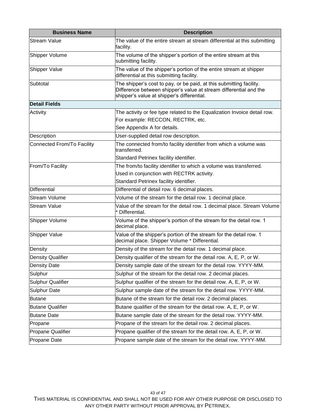| <b>Business Name</b>       | <b>Description</b>                                                                                                                                                                     |  |  |
|----------------------------|----------------------------------------------------------------------------------------------------------------------------------------------------------------------------------------|--|--|
| <b>Stream Value</b>        | The value of the entire stream at stream differential at this submitting<br>facility.                                                                                                  |  |  |
| Shipper Volume             | The volume of the shipper's portion of the entire stream at this<br>submitting facility.                                                                                               |  |  |
| <b>Shipper Value</b>       | The value of the shipper's portion of the entire stream at shipper<br>differential at this submitting facility.                                                                        |  |  |
| Subtotal                   | The shipper's cost to pay, or be paid, at this submitting facility.<br>Difference between shipper's value at stream differential and the<br>shipper's value at shipper's differential. |  |  |
| <b>Detail Fields</b>       |                                                                                                                                                                                        |  |  |
| Activity                   | The activity or fee type related to the Equalization Invoice detail row.                                                                                                               |  |  |
|                            | For example: RECCON, RECTRK, etc.                                                                                                                                                      |  |  |
|                            | See Appendix A for details.                                                                                                                                                            |  |  |
| <b>Description</b>         | User-supplied detail row description.                                                                                                                                                  |  |  |
| Connected From/To Facility | The connected from/to facility identifier from which a volume was<br>transferred.                                                                                                      |  |  |
|                            | Standard Petrinex facility identifier.                                                                                                                                                 |  |  |
| From/To Facility           | The from/to facility identifier to which a volume was transferred.                                                                                                                     |  |  |
|                            | Used in conjunction with RECTRK activity.                                                                                                                                              |  |  |
|                            | Standard Petrinex facility identifier.                                                                                                                                                 |  |  |
| Differential               | Differential of detail row. 6 decimal places.                                                                                                                                          |  |  |
| <b>Stream Volume</b>       | Volume of the stream for the detail row. 1 decimal place.                                                                                                                              |  |  |
| <b>Stream Value</b>        | Value of the stream for the detail row. 1 decimal place. Stream Volume<br>* Differential.                                                                                              |  |  |
| Shipper Volume             | Volume of the shipper's portion of the stream for the detail row. 1<br>decimal place.                                                                                                  |  |  |
| Shipper Value              | Value of the shipper's portion of the stream for the detail row. 1<br>decimal place. Shipper Volume * Differential.                                                                    |  |  |
| Density                    | Density of the stream for the detail row. 1 decimal place.                                                                                                                             |  |  |
| <b>Density Qualifier</b>   | Density qualifier of the stream for the detail row. A, E, P, or W.                                                                                                                     |  |  |
| <b>Density Date</b>        | Density sample date of the stream for the detail row. YYYY-MM.                                                                                                                         |  |  |
| Sulphur                    | Sulphur of the stream for the detail row. 2 decimal places.                                                                                                                            |  |  |
| Sulphur Qualifier          | Sulphur qualifier of the stream for the detail row. A, E, P, or W.                                                                                                                     |  |  |
| <b>Sulphur Date</b>        | Sulphur sample date of the stream for the detail row. YYYY-MM.                                                                                                                         |  |  |
| <b>Butane</b>              | Butane of the stream for the detail row. 2 decimal places.                                                                                                                             |  |  |
| <b>Butane Qualifier</b>    | Butane qualifier of the stream for the detail row. A, E, P, or W.                                                                                                                      |  |  |
| <b>Butane Date</b>         | Butane sample date of the stream for the detail row. YYYY-MM.                                                                                                                          |  |  |
| Propane                    | Propane of the stream for the detail row. 2 decimal places.                                                                                                                            |  |  |
| Propane Qualifier          | Propane qualifier of the stream for the detail row. A, E, P, or W.                                                                                                                     |  |  |
| Propane Date               | Propane sample date of the stream for the detail row. YYYY-MM.                                                                                                                         |  |  |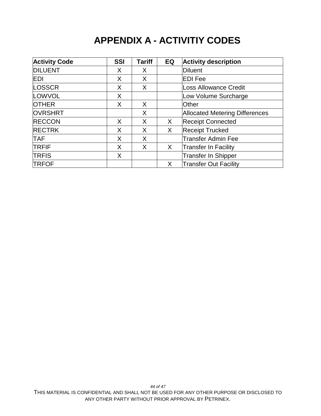### **APPENDIX A - ACTIVITIY CODES**

<span id="page-43-0"></span>

| <b>Activity Code</b> | <b>SSI</b> | <b>Tariff</b> | EQ | <b>Activity description</b>           |
|----------------------|------------|---------------|----|---------------------------------------|
| <b>DILUENT</b>       | X          | X             |    | <b>Diluent</b>                        |
| <b>EDI</b>           | X          | X             |    | <b>EDI Fee</b>                        |
| <b>LOSSCR</b>        | X          | X             |    | <b>Loss Allowance Credit</b>          |
| LOWVOL               | X          |               |    | Low Volume Surcharge                  |
| <b>OTHER</b>         | X          | X             |    | Other                                 |
| <b>OVRSHRT</b>       |            | X             |    | <b>Allocated Metering Differences</b> |
| <b>RECCON</b>        | X          | X             | X. | <b>Receipt Connected</b>              |
| <b>RECTRK</b>        | X          | X             | X. | <b>Receipt Trucked</b>                |
| <b>TAF</b>           | X          | X             |    | <b>Transfer Admin Fee</b>             |
| <b>TRFIF</b>         | X          | X             | X  | Transfer In Facility                  |
| <b>TRFIS</b>         | X          |               |    | <b>Transfer In Shipper</b>            |
| <b>TRFOF</b>         |            |               | X  | <b>Transfer Out Facility</b>          |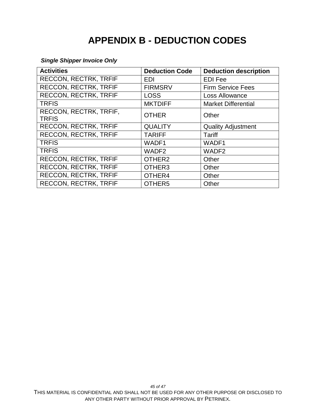## **APPENDIX B - DEDUCTION CODES**

#### <span id="page-44-0"></span>*Single Shipper Invoice Only*

| <b>Activities</b>                      | <b>Deduction Code</b> | <b>Deduction description</b> |
|----------------------------------------|-----------------------|------------------------------|
| RECCON, RECTRK, TRFIF                  | <b>EDI</b>            | <b>EDI Fee</b>               |
| <b>RECCON, RECTRK, TRFIF</b>           | <b>FIRMSRV</b>        | <b>Firm Service Fees</b>     |
| RECCON, RECTRK, TRFIF                  | <b>LOSS</b>           | Loss Allowance               |
| <b>TRFIS</b>                           | <b>MKTDIFF</b>        | <b>Market Differential</b>   |
| RECCON, RECTRK, TRFIF,<br><b>TRFIS</b> | <b>OTHER</b>          | Other                        |
| <b>RECCON, RECTRK, TRFIF</b>           | <b>QUALITY</b>        | <b>Quality Adjustment</b>    |
| <b>RECCON, RECTRK, TRFIF</b>           | <b>TARIFF</b>         | Tariff                       |
| <b>TRFIS</b>                           | WADF1                 | WADF1                        |
| <b>TRFIS</b>                           | WADF <sub>2</sub>     | WADF <sub>2</sub>            |
| <b>RECCON, RECTRK, TRFIF</b>           | OTHER <sub>2</sub>    | Other                        |
| <b>RECCON, RECTRK, TRFIF</b>           | OTHER <sub>3</sub>    | Other                        |
| <b>RECCON, RECTRK, TRFIF</b>           | OTHER4                | Other                        |
| <b>RECCON, RECTRK, TRFIF</b>           | OTHER5                | Other                        |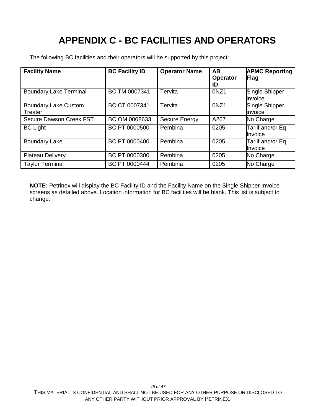# **APPENDIX C - BC FACILITIES AND OPERATORS**

<span id="page-45-0"></span>The following BC facilities and their operators will be supported by this project:

| <b>Facility Name</b>                   | <b>BC Facility ID</b> | <b>Operator Name</b> | <b>AB</b><br><b>Operator</b><br>ID | <b>APMC Reporting</b><br>Flag       |
|----------------------------------------|-----------------------|----------------------|------------------------------------|-------------------------------------|
| <b>Boundary Lake Terminal</b>          | BC TM 0007341         | Tervita              | 0NZ1                               | Single Shipper<br>invoice           |
| <b>Boundary Lake Custom</b><br>Treater | BC CT 0007341         | Tervita              | 0NZ1                               | Single Shipper<br>invoice           |
| Secure Dawson Creek FST                | BC OM 0008633         | Secure Energy        | A267                               | No Charge                           |
| <b>BC Light</b>                        | BC PT 0000500         | Pembina              | 0205                               | Tariif and/or Eq<br><b>I</b> nvoice |
| <b>Boundary Lake</b>                   | BC PT 0000400         | Pembina              | 0205                               | Tariif and/or Eq<br><b>I</b> nvoice |
| <b>Plateau Delivery</b>                | BC PT 0000300         | Pembina              | 0205                               | No Charge                           |
| <b>Taylor Terminal</b>                 | BC PT 0000444         | Pembina              | 0205                               | No Charge                           |

**NOTE:** Petrinex will display the BC Facility ID and the Facility Name on the Single Shipper Invoice screens as detailed above. Location information for BC facilities will be blank. This list is subject to change.